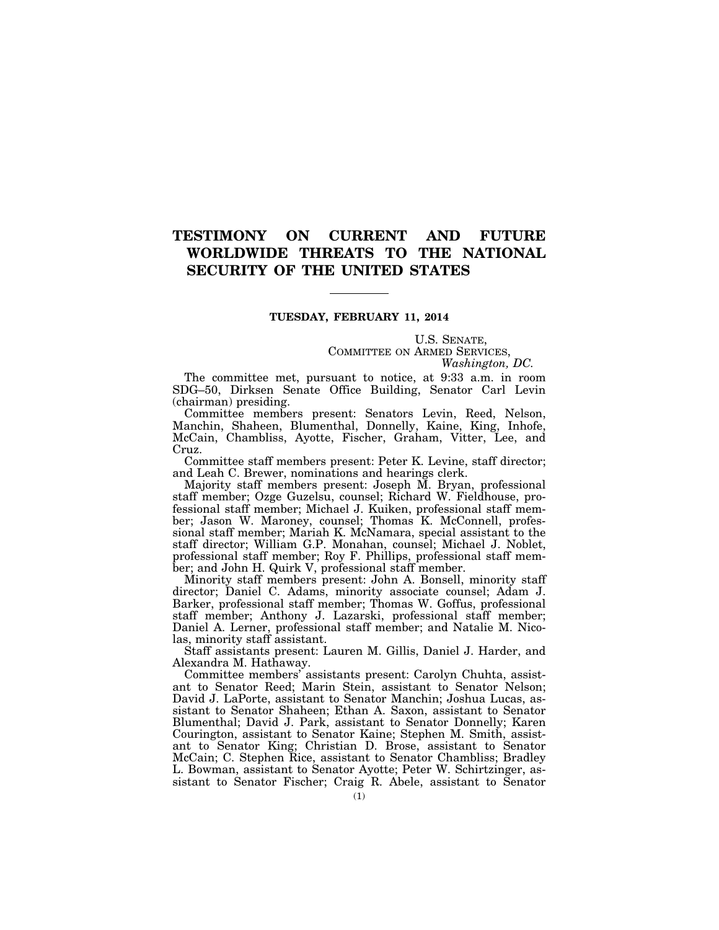# **TESTIMONY ON CURRENT AND FUTURE WORLDWIDE THREATS TO THE NATIONAL SECURITY OF THE UNITED STATES**

## **TUESDAY, FEBRUARY 11, 2014**

U.S. SENATE, COMMITTEE ON ARMED SERVICES, *Washington, DC.* 

The committee met, pursuant to notice, at 9:33 a.m. in room SDG–50, Dirksen Senate Office Building, Senator Carl Levin (chairman) presiding.

Committee members present: Senators Levin, Reed, Nelson, Manchin, Shaheen, Blumenthal, Donnelly, Kaine, King, Inhofe, McCain, Chambliss, Ayotte, Fischer, Graham, Vitter, Lee, and Cruz.

Committee staff members present: Peter K. Levine, staff director; and Leah C. Brewer, nominations and hearings clerk.

Majority staff members present: Joseph M. Bryan, professional staff member; Ozge Guzelsu, counsel; Richard W. Fieldhouse, professional staff member; Michael J. Kuiken, professional staff member; Jason W. Maroney, counsel; Thomas K. McConnell, professional staff member; Mariah K. McNamara, special assistant to the staff director; William G.P. Monahan, counsel; Michael J. Noblet, professional staff member; Roy F. Phillips, professional staff member; and John H. Quirk V, professional staff member.

Minority staff members present: John A. Bonsell, minority staff director; Daniel C. Adams, minority associate counsel; Adam J. Barker, professional staff member; Thomas W. Goffus, professional staff member; Anthony J. Lazarski, professional staff member; Daniel A. Lerner, professional staff member; and Natalie M. Nicolas, minority staff assistant.

Staff assistants present: Lauren M. Gillis, Daniel J. Harder, and Alexandra M. Hathaway.

Committee members' assistants present: Carolyn Chuhta, assistant to Senator Reed; Marin Stein, assistant to Senator Nelson; David J. LaPorte, assistant to Senator Manchin; Joshua Lucas, assistant to Senator Shaheen; Ethan A. Saxon, assistant to Senator Blumenthal; David J. Park, assistant to Senator Donnelly; Karen Courington, assistant to Senator Kaine; Stephen M. Smith, assistant to Senator King; Christian D. Brose, assistant to Senator McCain; C. Stephen Rice, assistant to Senator Chambliss; Bradley L. Bowman, assistant to Senator Ayotte; Peter W. Schirtzinger, assistant to Senator Fischer; Craig R. Abele, assistant to Senator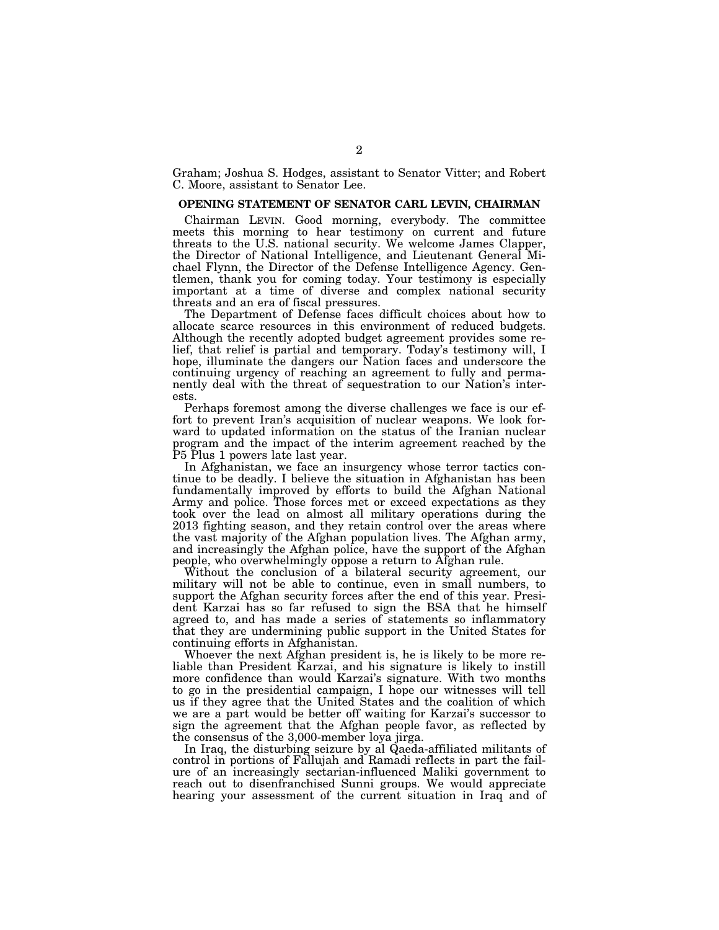Graham; Joshua S. Hodges, assistant to Senator Vitter; and Robert C. Moore, assistant to Senator Lee.

#### **OPENING STATEMENT OF SENATOR CARL LEVIN, CHAIRMAN**

Chairman LEVIN. Good morning, everybody. The committee meets this morning to hear testimony on current and future threats to the U.S. national security. We welcome James Clapper, the Director of National Intelligence, and Lieutenant General Michael Flynn, the Director of the Defense Intelligence Agency. Gentlemen, thank you for coming today. Your testimony is especially important at a time of diverse and complex national security threats and an era of fiscal pressures.

The Department of Defense faces difficult choices about how to allocate scarce resources in this environment of reduced budgets. Although the recently adopted budget agreement provides some relief, that relief is partial and temporary. Today's testimony will, I hope, illuminate the dangers our Nation faces and underscore the continuing urgency of reaching an agreement to fully and permanently deal with the threat of sequestration to our Nation's interests.

Perhaps foremost among the diverse challenges we face is our effort to prevent Iran's acquisition of nuclear weapons. We look forward to updated information on the status of the Iranian nuclear program and the impact of the interim agreement reached by the P5 Plus 1 powers late last year.

In Afghanistan, we face an insurgency whose terror tactics continue to be deadly. I believe the situation in Afghanistan has been fundamentally improved by efforts to build the Afghan National Army and police. Those forces met or exceed expectations as they took over the lead on almost all military operations during the 2013 fighting season, and they retain control over the areas where the vast majority of the Afghan population lives. The Afghan army, and increasingly the Afghan police, have the support of the Afghan people, who overwhelmingly oppose a return to Afghan rule.

Without the conclusion of a bilateral security agreement, our military will not be able to continue, even in small numbers, to support the Afghan security forces after the end of this year. President Karzai has so far refused to sign the BSA that he himself agreed to, and has made a series of statements so inflammatory that they are undermining public support in the United States for continuing efforts in Afghanistan.

Whoever the next Afghan president is, he is likely to be more reliable than President Karzai, and his signature is likely to instill more confidence than would Karzai's signature. With two months to go in the presidential campaign, I hope our witnesses will tell us if they agree that the United States and the coalition of which we are a part would be better off waiting for Karzai's successor to sign the agreement that the Afghan people favor, as reflected by the consensus of the 3,000-member loya jirga.

In Iraq, the disturbing seizure by al Qaeda-affiliated militants of control in portions of Fallujah and Ramadi reflects in part the failure of an increasingly sectarian-influenced Maliki government to reach out to disenfranchised Sunni groups. We would appreciate hearing your assessment of the current situation in Iraq and of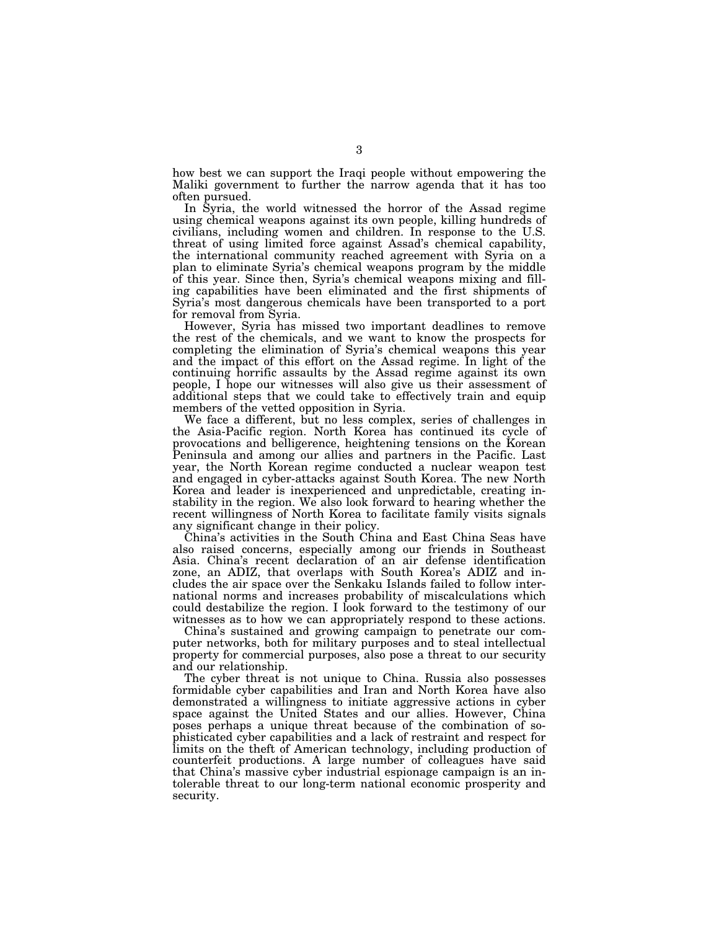how best we can support the Iraqi people without empowering the Maliki government to further the narrow agenda that it has too often pursued.

In Syria, the world witnessed the horror of the Assad regime using chemical weapons against its own people, killing hundreds of civilians, including women and children. In response to the U.S. threat of using limited force against Assad's chemical capability, the international community reached agreement with Syria on a plan to eliminate Syria's chemical weapons program by the middle of this year. Since then, Syria's chemical weapons mixing and filling capabilities have been eliminated and the first shipments of Syria's most dangerous chemicals have been transported to a port for removal from Syria.

However, Syria has missed two important deadlines to remove the rest of the chemicals, and we want to know the prospects for completing the elimination of Syria's chemical weapons this year and the impact of this effort on the Assad regime. In light of the continuing horrific assaults by the Assad regime against its own people, I hope our witnesses will also give us their assessment of additional steps that we could take to effectively train and equip members of the vetted opposition in Syria.

We face a different, but no less complex, series of challenges in the Asia-Pacific region. North Korea has continued its cycle of provocations and belligerence, heightening tensions on the Korean Peninsula and among our allies and partners in the Pacific. Last year, the North Korean regime conducted a nuclear weapon test and engaged in cyber-attacks against South Korea. The new North Korea and leader is inexperienced and unpredictable, creating instability in the region. We also look forward to hearing whether the recent willingness of North Korea to facilitate family visits signals any significant change in their policy.

China's activities in the South China and East China Seas have also raised concerns, especially among our friends in Southeast Asia. China's recent declaration of an air defense identification zone, an ADIZ, that overlaps with South Korea's ADIZ and includes the air space over the Senkaku Islands failed to follow international norms and increases probability of miscalculations which could destabilize the region. I look forward to the testimony of our witnesses as to how we can appropriately respond to these actions.

China's sustained and growing campaign to penetrate our computer networks, both for military purposes and to steal intellectual property for commercial purposes, also pose a threat to our security and our relationship.

The cyber threat is not unique to China. Russia also possesses formidable cyber capabilities and Iran and North Korea have also demonstrated a willingness to initiate aggressive actions in cyber space against the United States and our allies. However, China poses perhaps a unique threat because of the combination of sophisticated cyber capabilities and a lack of restraint and respect for limits on the theft of American technology, including production of counterfeit productions. A large number of colleagues have said that China's massive cyber industrial espionage campaign is an intolerable threat to our long-term national economic prosperity and security.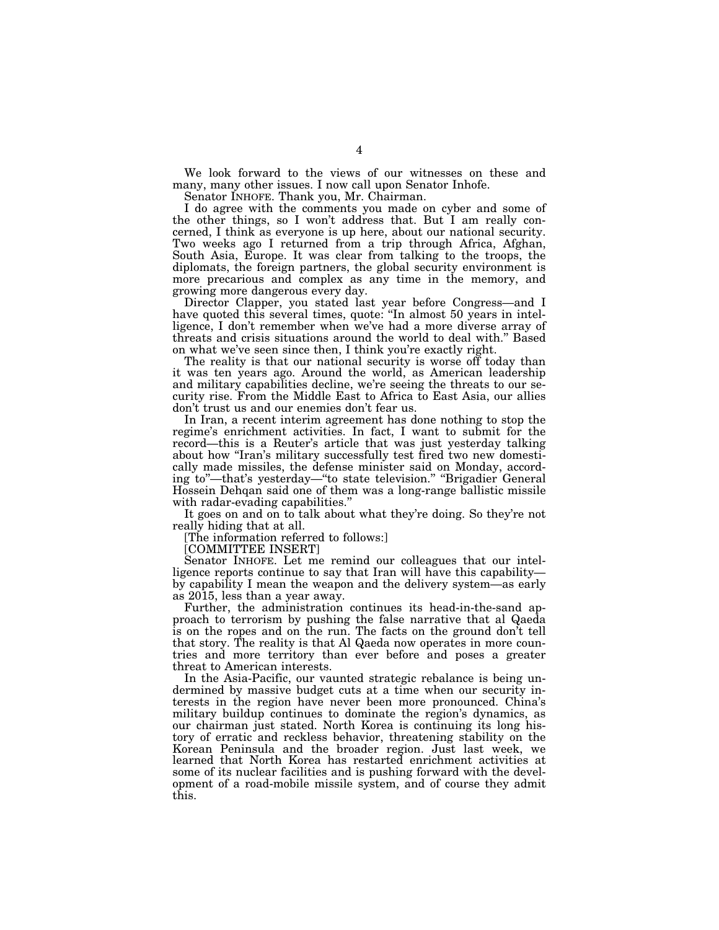We look forward to the views of our witnesses on these and many, many other issues. I now call upon Senator Inhofe.

Senator INHOFE. Thank you, Mr. Chairman.

I do agree with the comments you made on cyber and some of the other things, so I won't address that. But I am really concerned, I think as everyone is up here, about our national security. Two weeks ago I returned from a trip through Africa, Afghan, South Asia, Europe. It was clear from talking to the troops, the diplomats, the foreign partners, the global security environment is more precarious and complex as any time in the memory, and growing more dangerous every day.

Director Clapper, you stated last year before Congress—and I have quoted this several times, quote: "In almost 50 years in intelligence, I don't remember when we've had a more diverse array of threats and crisis situations around the world to deal with.'' Based on what we've seen since then, I think you're exactly right.

The reality is that our national security is worse off today than it was ten years ago. Around the world, as American leadership and military capabilities decline, we're seeing the threats to our security rise. From the Middle East to Africa to East Asia, our allies don't trust us and our enemies don't fear us.

In Iran, a recent interim agreement has done nothing to stop the regime's enrichment activities. In fact, I want to submit for the record—this is a Reuter's article that was just yesterday talking about how ''Iran's military successfully test fired two new domestically made missiles, the defense minister said on Monday, according to''—that's yesterday—''to state television.'' ''Brigadier General Hossein Dehqan said one of them was a long-range ballistic missile with radar-evading capabilities."

It goes on and on to talk about what they're doing. So they're not really hiding that at all.

[The information referred to follows:]

[COMMITTEE INSERT]

Senator INHOFE. Let me remind our colleagues that our intelligence reports continue to say that Iran will have this capability by capability I mean the weapon and the delivery system—as early as 2015, less than a year away.

Further, the administration continues its head-in-the-sand approach to terrorism by pushing the false narrative that al Qaeda is on the ropes and on the run. The facts on the ground don't tell that story. The reality is that Al Qaeda now operates in more countries and more territory than ever before and poses a greater threat to American interests.

In the Asia-Pacific, our vaunted strategic rebalance is being undermined by massive budget cuts at a time when our security interests in the region have never been more pronounced. China's military buildup continues to dominate the region's dynamics, as our chairman just stated. North Korea is continuing its long history of erratic and reckless behavior, threatening stability on the Korean Peninsula and the broader region. Just last week, we learned that North Korea has restarted enrichment activities at some of its nuclear facilities and is pushing forward with the development of a road-mobile missile system, and of course they admit this.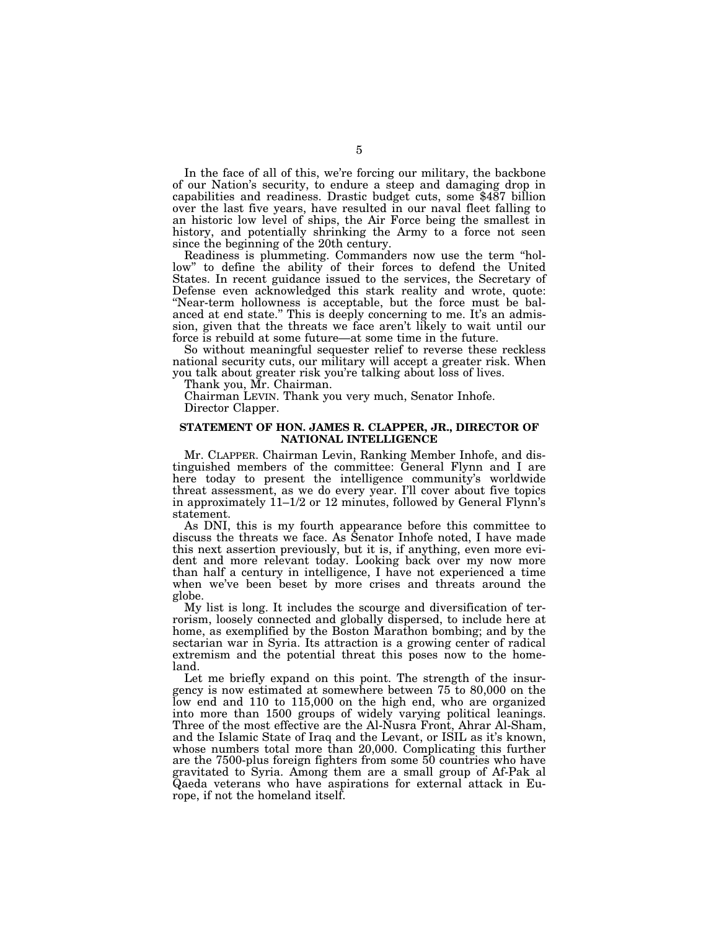In the face of all of this, we're forcing our military, the backbone of our Nation's security, to endure a steep and damaging drop in capabilities and readiness. Drastic budget cuts, some \$487 billion over the last five years, have resulted in our naval fleet falling to an historic low level of ships, the Air Force being the smallest in history, and potentially shrinking the Army to a force not seen since the beginning of the 20th century.

Readiness is plummeting. Commanders now use the term ''hollow'' to define the ability of their forces to defend the United States. In recent guidance issued to the services, the Secretary of Defense even acknowledged this stark reality and wrote, quote: ''Near-term hollowness is acceptable, but the force must be balanced at end state.'' This is deeply concerning to me. It's an admission, given that the threats we face aren't likely to wait until our force is rebuild at some future—at some time in the future.

So without meaningful sequester relief to reverse these reckless national security cuts, our military will accept a greater risk. When you talk about greater risk you're talking about loss of lives.

Thank you, Mr. Chairman.

Chairman LEVIN. Thank you very much, Senator Inhofe. Director Clapper.

## **STATEMENT OF HON. JAMES R. CLAPPER, JR., DIRECTOR OF NATIONAL INTELLIGENCE**

Mr. CLAPPER. Chairman Levin, Ranking Member Inhofe, and distinguished members of the committee: General Flynn and I are here today to present the intelligence community's worldwide threat assessment, as we do every year. I'll cover about five topics in approximately 11–1/2 or 12 minutes, followed by General Flynn's statement.

As DNI, this is my fourth appearance before this committee to discuss the threats we face. As Senator Inhofe noted, I have made this next assertion previously, but it is, if anything, even more evident and more relevant today. Looking back over my now more than half a century in intelligence, I have not experienced a time when we've been beset by more crises and threats around the globe.

My list is long. It includes the scourge and diversification of terrorism, loosely connected and globally dispersed, to include here at home, as exemplified by the Boston Marathon bombing; and by the sectarian war in Syria. Its attraction is a growing center of radical extremism and the potential threat this poses now to the homeland.

Let me briefly expand on this point. The strength of the insurgency is now estimated at somewhere between 75 to 80,000 on the low end and 110 to 115,000 on the high end, who are organized into more than 1500 groups of widely varying political leanings. Three of the most effective are the Al-Nusra Front, Ahrar Al-Sham, and the Islamic State of Iraq and the Levant, or ISIL as it's known, whose numbers total more than 20,000. Complicating this further are the 7500-plus foreign fighters from some 50 countries who have gravitated to Syria. Among them are a small group of Af-Pak al Qaeda veterans who have aspirations for external attack in Europe, if not the homeland itself.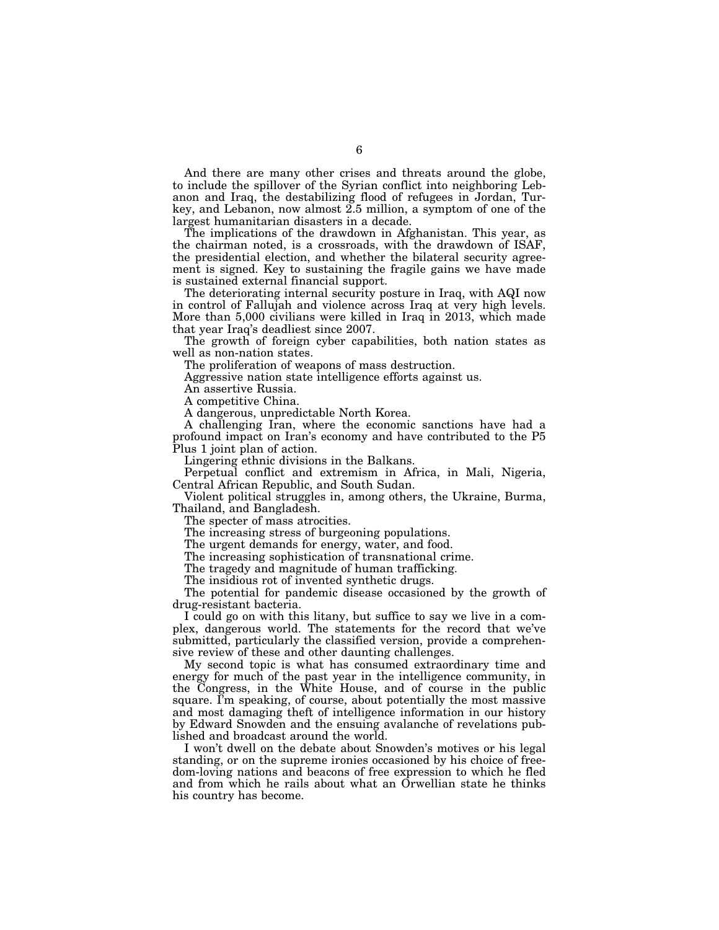And there are many other crises and threats around the globe, to include the spillover of the Syrian conflict into neighboring Lebanon and Iraq, the destabilizing flood of refugees in Jordan, Turkey, and Lebanon, now almost 2.5 million, a symptom of one of the largest humanitarian disasters in a decade.

The implications of the drawdown in Afghanistan. This year, as the chairman noted, is a crossroads, with the drawdown of ISAF, the presidential election, and whether the bilateral security agreement is signed. Key to sustaining the fragile gains we have made is sustained external financial support.

The deteriorating internal security posture in Iraq, with AQI now in control of Fallujah and violence across Iraq at very high levels. More than 5,000 civilians were killed in Iraq in 2013, which made that year Iraq's deadliest since 2007.

The growth of foreign cyber capabilities, both nation states as well as non-nation states.

The proliferation of weapons of mass destruction.

Aggressive nation state intelligence efforts against us.

An assertive Russia.

A competitive China.

A dangerous, unpredictable North Korea.

A challenging Iran, where the economic sanctions have had a profound impact on Iran's economy and have contributed to the P5 Plus 1 joint plan of action.

Lingering ethnic divisions in the Balkans.

Perpetual conflict and extremism in Africa, in Mali, Nigeria, Central African Republic, and South Sudan.

Violent political struggles in, among others, the Ukraine, Burma, Thailand, and Bangladesh.

The specter of mass atrocities.

The increasing stress of burgeoning populations.

The urgent demands for energy, water, and food.

The increasing sophistication of transnational crime.

The tragedy and magnitude of human trafficking.

The insidious rot of invented synthetic drugs.

The potential for pandemic disease occasioned by the growth of drug-resistant bacteria.

I could go on with this litany, but suffice to say we live in a complex, dangerous world. The statements for the record that we've submitted, particularly the classified version, provide a comprehensive review of these and other daunting challenges.

My second topic is what has consumed extraordinary time and energy for much of the past year in the intelligence community, in the Congress, in the White House, and of course in the public square. I'm speaking, of course, about potentially the most massive and most damaging theft of intelligence information in our history by Edward Snowden and the ensuing avalanche of revelations published and broadcast around the world.

I won't dwell on the debate about Snowden's motives or his legal standing, or on the supreme ironies occasioned by his choice of freedom-loving nations and beacons of free expression to which he fled and from which he rails about what an Orwellian state he thinks his country has become.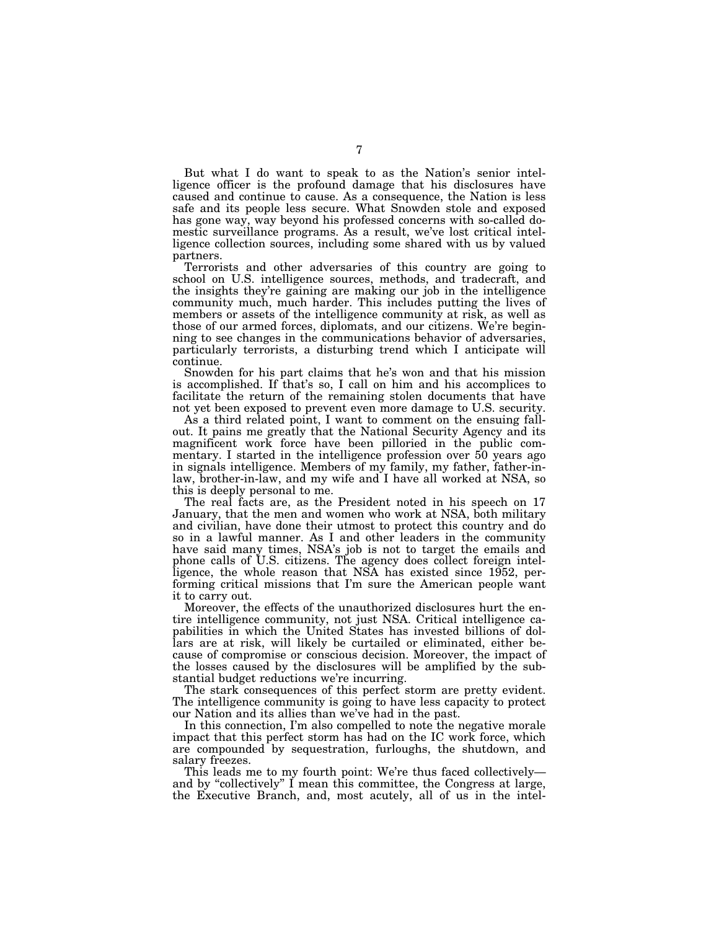But what I do want to speak to as the Nation's senior intelligence officer is the profound damage that his disclosures have caused and continue to cause. As a consequence, the Nation is less safe and its people less secure. What Snowden stole and exposed has gone way, way beyond his professed concerns with so-called domestic surveillance programs. As a result, we've lost critical intelligence collection sources, including some shared with us by valued partners.

Terrorists and other adversaries of this country are going to school on U.S. intelligence sources, methods, and tradecraft, and the insights they're gaining are making our job in the intelligence community much, much harder. This includes putting the lives of members or assets of the intelligence community at risk, as well as those of our armed forces, diplomats, and our citizens. We're beginning to see changes in the communications behavior of adversaries, particularly terrorists, a disturbing trend which I anticipate will continue.

Snowden for his part claims that he's won and that his mission is accomplished. If that's so, I call on him and his accomplices to facilitate the return of the remaining stolen documents that have not yet been exposed to prevent even more damage to U.S. security.

As a third related point, I want to comment on the ensuing fallout. It pains me greatly that the National Security Agency and its magnificent work force have been pilloried in the public commentary. I started in the intelligence profession over 50 years ago in signals intelligence. Members of my family, my father, father-inlaw, brother-in-law, and my wife and I have all worked at NSA, so this is deeply personal to me.

The real facts are, as the President noted in his speech on 17 January, that the men and women who work at NSA, both military and civilian, have done their utmost to protect this country and do so in a lawful manner. As I and other leaders in the community have said many times, NSA's job is not to target the emails and phone calls of U.S. citizens. The agency does collect foreign intelligence, the whole reason that NSA has existed since 1952, performing critical missions that I'm sure the American people want it to carry out.

Moreover, the effects of the unauthorized disclosures hurt the entire intelligence community, not just NSA. Critical intelligence capabilities in which the United States has invested billions of dollars are at risk, will likely be curtailed or eliminated, either because of compromise or conscious decision. Moreover, the impact of the losses caused by the disclosures will be amplified by the substantial budget reductions we're incurring.

The stark consequences of this perfect storm are pretty evident. The intelligence community is going to have less capacity to protect our Nation and its allies than we've had in the past.

In this connection, I'm also compelled to note the negative morale impact that this perfect storm has had on the IC work force, which are compounded by sequestration, furloughs, the shutdown, and salary freezes.

This leads me to my fourth point: We're thus faced collectively and by ''collectively'' I mean this committee, the Congress at large, the Executive Branch, and, most acutely, all of us in the intel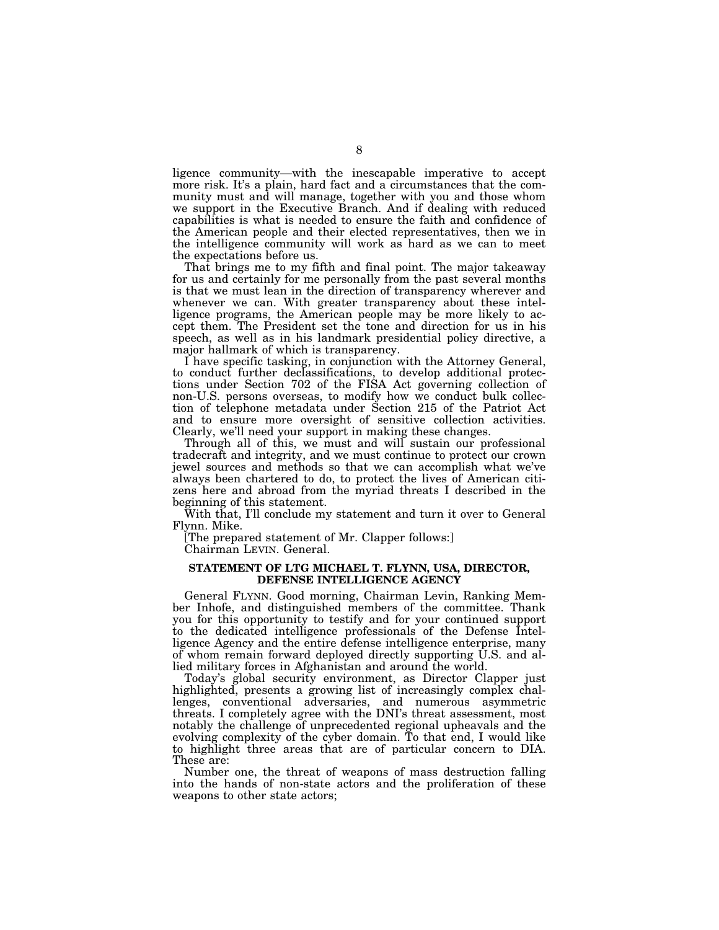ligence community—with the inescapable imperative to accept more risk. It's a plain, hard fact and a circumstances that the community must and will manage, together with you and those whom we support in the Executive Branch. And if dealing with reduced capabilities is what is needed to ensure the faith and confidence of the American people and their elected representatives, then we in the intelligence community will work as hard as we can to meet the expectations before us.

That brings me to my fifth and final point. The major takeaway for us and certainly for me personally from the past several months is that we must lean in the direction of transparency wherever and whenever we can. With greater transparency about these intelligence programs, the American people may be more likely to accept them. The President set the tone and direction for us in his speech, as well as in his landmark presidential policy directive, a major hallmark of which is transparency.

I have specific tasking, in conjunction with the Attorney General, to conduct further declassifications, to develop additional protections under Section 702 of the FISA Act governing collection of non-U.S. persons overseas, to modify how we conduct bulk collection of telephone metadata under Section 215 of the Patriot Act and to ensure more oversight of sensitive collection activities. Clearly, we'll need your support in making these changes.

Through all of this, we must and will sustain our professional tradecraft and integrity, and we must continue to protect our crown jewel sources and methods so that we can accomplish what we've always been chartered to do, to protect the lives of American citizens here and abroad from the myriad threats I described in the beginning of this statement.

With that, I'll conclude my statement and turn it over to General Flynn. Mike.

[The prepared statement of Mr. Clapper follows:] Chairman LEVIN. General.

## **STATEMENT OF LTG MICHAEL T. FLYNN, USA, DIRECTOR, DEFENSE INTELLIGENCE AGENCY**

General FLYNN. Good morning, Chairman Levin, Ranking Member Inhofe, and distinguished members of the committee. Thank you for this opportunity to testify and for your continued support to the dedicated intelligence professionals of the Defense Intelligence Agency and the entire defense intelligence enterprise, many of whom remain forward deployed directly supporting U.S. and allied military forces in Afghanistan and around the world.

Today's global security environment, as Director Clapper just highlighted, presents a growing list of increasingly complex challenges, conventional adversaries, and numerous asymmetric threats. I completely agree with the DNI's threat assessment, most notably the challenge of unprecedented regional upheavals and the evolving complexity of the cyber domain. To that end, I would like to highlight three areas that are of particular concern to DIA. These are:

Number one, the threat of weapons of mass destruction falling into the hands of non-state actors and the proliferation of these weapons to other state actors;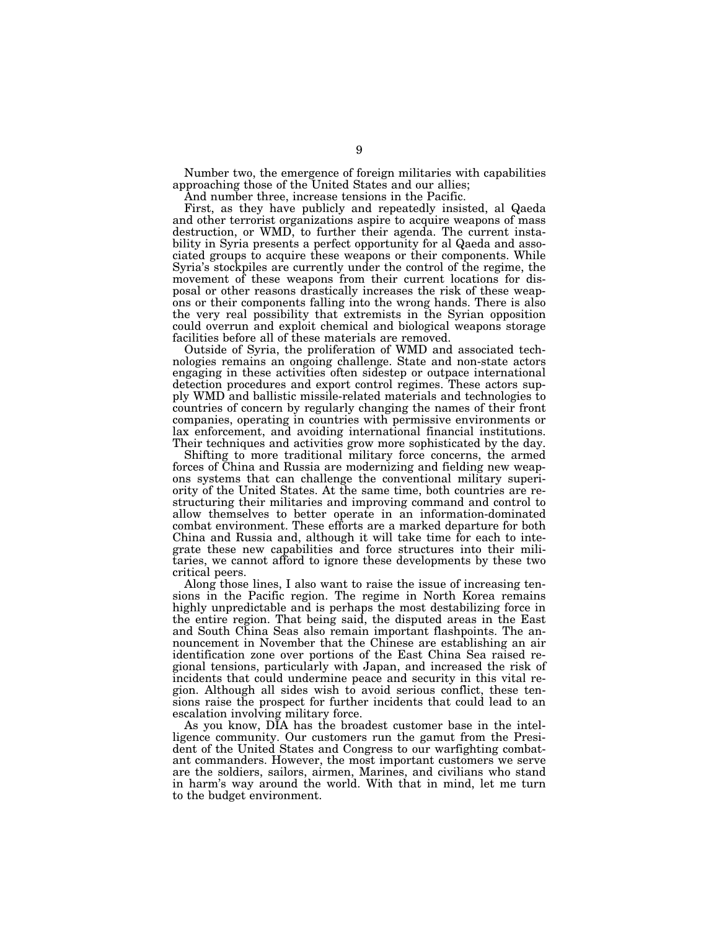Number two, the emergence of foreign militaries with capabilities approaching those of the United States and our allies;

And number three, increase tensions in the Pacific.

First, as they have publicly and repeatedly insisted, al Qaeda and other terrorist organizations aspire to acquire weapons of mass destruction, or WMD, to further their agenda. The current instability in Syria presents a perfect opportunity for al Qaeda and associated groups to acquire these weapons or their components. While Syria's stockpiles are currently under the control of the regime, the movement of these weapons from their current locations for disposal or other reasons drastically increases the risk of these weapons or their components falling into the wrong hands. There is also the very real possibility that extremists in the Syrian opposition could overrun and exploit chemical and biological weapons storage facilities before all of these materials are removed.

Outside of Syria, the proliferation of WMD and associated technologies remains an ongoing challenge. State and non-state actors engaging in these activities often sidestep or outpace international detection procedures and export control regimes. These actors supply WMD and ballistic missile-related materials and technologies to countries of concern by regularly changing the names of their front companies, operating in countries with permissive environments or lax enforcement, and avoiding international financial institutions. Their techniques and activities grow more sophisticated by the day.

Shifting to more traditional military force concerns, the armed forces of China and Russia are modernizing and fielding new weapons systems that can challenge the conventional military superiority of the United States. At the same time, both countries are restructuring their militaries and improving command and control to allow themselves to better operate in an information-dominated combat environment. These efforts are a marked departure for both China and Russia and, although it will take time for each to integrate these new capabilities and force structures into their militaries, we cannot afford to ignore these developments by these two critical peers.

Along those lines, I also want to raise the issue of increasing tensions in the Pacific region. The regime in North Korea remains highly unpredictable and is perhaps the most destabilizing force in the entire region. That being said, the disputed areas in the East and South China Seas also remain important flashpoints. The announcement in November that the Chinese are establishing an air identification zone over portions of the East China Sea raised regional tensions, particularly with Japan, and increased the risk of incidents that could undermine peace and security in this vital region. Although all sides wish to avoid serious conflict, these tensions raise the prospect for further incidents that could lead to an escalation involving military force.

As you know, DIA has the broadest customer base in the intelligence community. Our customers run the gamut from the President of the United States and Congress to our warfighting combatant commanders. However, the most important customers we serve are the soldiers, sailors, airmen, Marines, and civilians who stand in harm's way around the world. With that in mind, let me turn to the budget environment.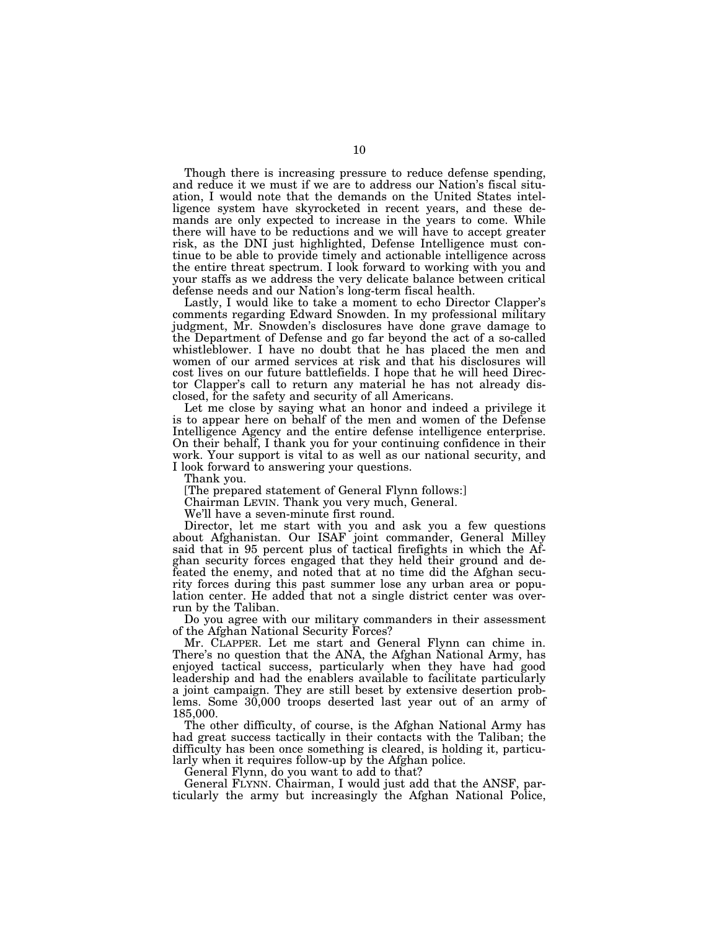Though there is increasing pressure to reduce defense spending, and reduce it we must if we are to address our Nation's fiscal situation, I would note that the demands on the United States intelligence system have skyrocketed in recent years, and these demands are only expected to increase in the years to come. While there will have to be reductions and we will have to accept greater risk, as the DNI just highlighted, Defense Intelligence must continue to be able to provide timely and actionable intelligence across the entire threat spectrum. I look forward to working with you and your staffs as we address the very delicate balance between critical defense needs and our Nation's long-term fiscal health.

Lastly, I would like to take a moment to echo Director Clapper's comments regarding Edward Snowden. In my professional military judgment, Mr. Snowden's disclosures have done grave damage to the Department of Defense and go far beyond the act of a so-called whistleblower. I have no doubt that he has placed the men and women of our armed services at risk and that his disclosures will cost lives on our future battlefields. I hope that he will heed Director Clapper's call to return any material he has not already disclosed, for the safety and security of all Americans.

Let me close by saying what an honor and indeed a privilege it is to appear here on behalf of the men and women of the Defense Intelligence Agency and the entire defense intelligence enterprise. On their behalf, I thank you for your continuing confidence in their work. Your support is vital to as well as our national security, and I look forward to answering your questions.

Thank you.

[The prepared statement of General Flynn follows:]

Chairman LEVIN. Thank you very much, General.

We'll have a seven-minute first round.

Director, let me start with you and ask you a few questions about Afghanistan. Our ISAF joint commander, General Milley said that in 95 percent plus of tactical firefights in which the Afghan security forces engaged that they held their ground and defeated the enemy, and noted that at no time did the Afghan security forces during this past summer lose any urban area or population center. He added that not a single district center was overrun by the Taliban.

Do you agree with our military commanders in their assessment of the Afghan National Security Forces?

Mr. CLAPPER. Let me start and General Flynn can chime in. There's no question that the ANA, the Afghan National Army, has enjoyed tactical success, particularly when they have had good leadership and had the enablers available to facilitate particularly a joint campaign. They are still beset by extensive desertion problems. Some 30,000 troops deserted last year out of an army of 185,000.

The other difficulty, of course, is the Afghan National Army has had great success tactically in their contacts with the Taliban; the difficulty has been once something is cleared, is holding it, particularly when it requires follow-up by the Afghan police.

General Flynn, do you want to add to that?

General FLYNN. Chairman, I would just add that the ANSF, particularly the army but increasingly the Afghan National Police,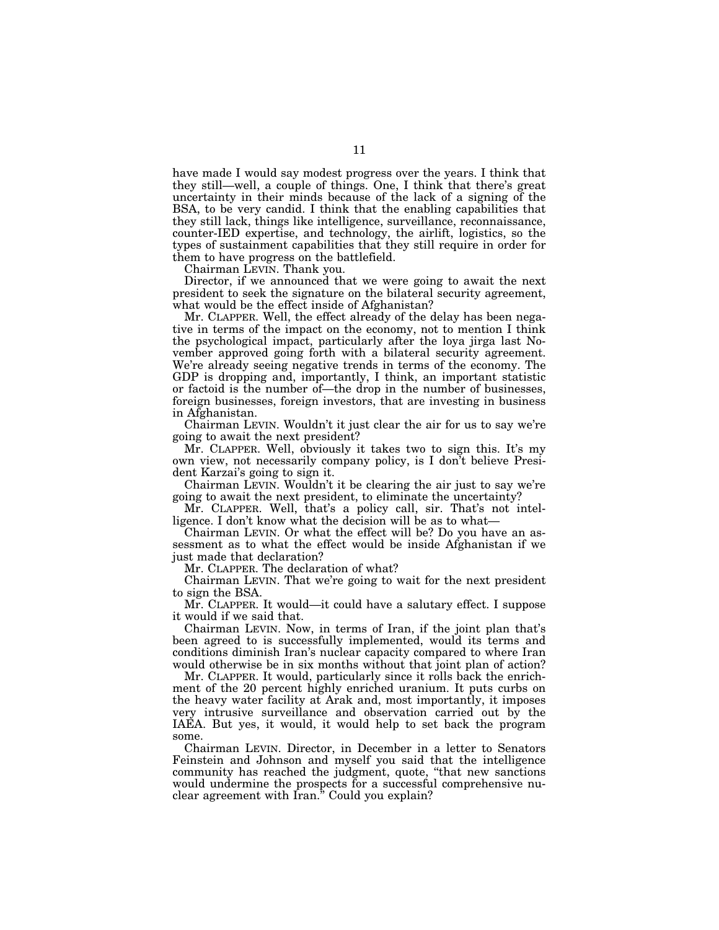have made I would say modest progress over the years. I think that they still—well, a couple of things. One, I think that there's great uncertainty in their minds because of the lack of a signing of the BSA, to be very candid. I think that the enabling capabilities that they still lack, things like intelligence, surveillance, reconnaissance, counter-IED expertise, and technology, the airlift, logistics, so the types of sustainment capabilities that they still require in order for them to have progress on the battlefield.

Chairman LEVIN. Thank you.

Director, if we announced that we were going to await the next president to seek the signature on the bilateral security agreement, what would be the effect inside of Afghanistan?

Mr. CLAPPER. Well, the effect already of the delay has been negative in terms of the impact on the economy, not to mention I think the psychological impact, particularly after the loya jirga last November approved going forth with a bilateral security agreement. We're already seeing negative trends in terms of the economy. The GDP is dropping and, importantly, I think, an important statistic or factoid is the number of—the drop in the number of businesses, foreign businesses, foreign investors, that are investing in business in Afghanistan.

Chairman LEVIN. Wouldn't it just clear the air for us to say we're going to await the next president?

Mr. CLAPPER. Well, obviously it takes two to sign this. It's my own view, not necessarily company policy, is I don't believe President Karzai's going to sign it.

Chairman LEVIN. Wouldn't it be clearing the air just to say we're going to await the next president, to eliminate the uncertainty?

Mr. CLAPPER. Well, that's a policy call, sir. That's not intelligence. I don't know what the decision will be as to what—

Chairman LEVIN. Or what the effect will be? Do you have an assessment as to what the effect would be inside Afghanistan if we just made that declaration?

Mr. CLAPPER. The declaration of what?

Chairman LEVIN. That we're going to wait for the next president to sign the BSA.

Mr. CLAPPER. It would—it could have a salutary effect. I suppose it would if we said that.

Chairman LEVIN. Now, in terms of Iran, if the joint plan that's been agreed to is successfully implemented, would its terms and conditions diminish Iran's nuclear capacity compared to where Iran would otherwise be in six months without that joint plan of action?

Mr. CLAPPER. It would, particularly since it rolls back the enrichment of the 20 percent highly enriched uranium. It puts curbs on the heavy water facility at Arak and, most importantly, it imposes very intrusive surveillance and observation carried out by the IAEA. But yes, it would, it would help to set back the program some.

Chairman LEVIN. Director, in December in a letter to Senators Feinstein and Johnson and myself you said that the intelligence community has reached the judgment, quote, ''that new sanctions would undermine the prospects for a successful comprehensive nuclear agreement with Iran.'' Could you explain?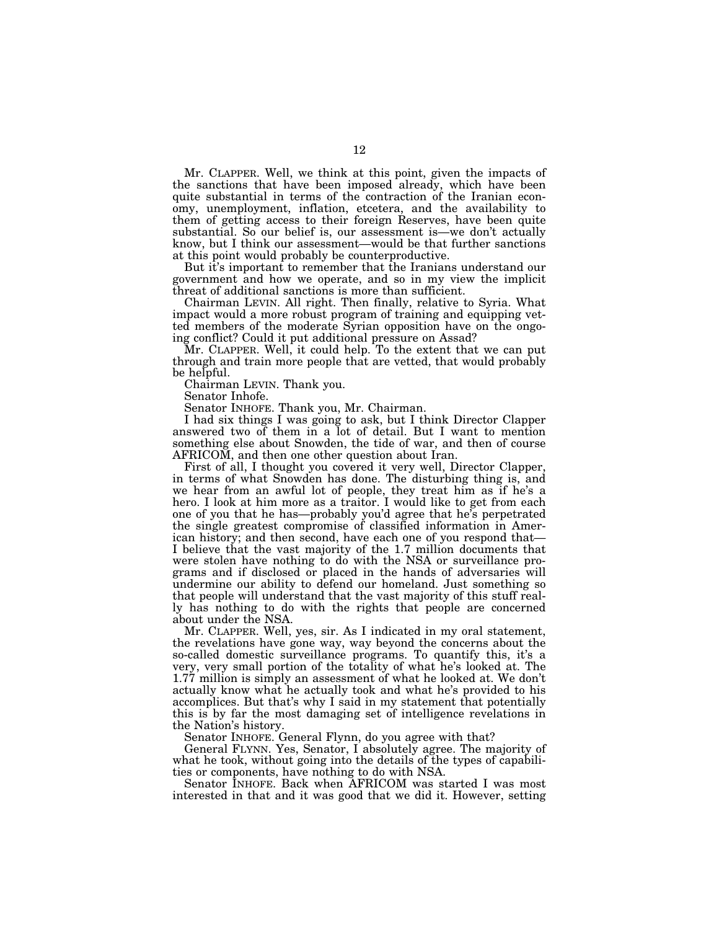Mr. CLAPPER. Well, we think at this point, given the impacts of the sanctions that have been imposed already, which have been quite substantial in terms of the contraction of the Iranian economy, unemployment, inflation, etcetera, and the availability to them of getting access to their foreign Reserves, have been quite substantial. So our belief is, our assessment is—we don't actually know, but I think our assessment—would be that further sanctions at this point would probably be counterproductive.

But it's important to remember that the Iranians understand our government and how we operate, and so in my view the implicit threat of additional sanctions is more than sufficient.

Chairman LEVIN. All right. Then finally, relative to Syria. What impact would a more robust program of training and equipping vetted members of the moderate Syrian opposition have on the ongoing conflict? Could it put additional pressure on Assad?

Mr. CLAPPER. Well, it could help. To the extent that we can put through and train more people that are vetted, that would probably be helpful.

Chairman LEVIN. Thank you.

Senator Inhofe.

Senator INHOFE. Thank you, Mr. Chairman.

I had six things I was going to ask, but I think Director Clapper answered two of them in a lot of detail. But I want to mention something else about Snowden, the tide of war, and then of course AFRICOM, and then one other question about Iran.

First of all, I thought you covered it very well, Director Clapper, in terms of what Snowden has done. The disturbing thing is, and we hear from an awful lot of people, they treat him as if he's a hero. I look at him more as a traitor. I would like to get from each one of you that he has—probably you'd agree that he's perpetrated the single greatest compromise of classified information in American history; and then second, have each one of you respond that— I believe that the vast majority of the 1.7 million documents that were stolen have nothing to do with the NSA or surveillance programs and if disclosed or placed in the hands of adversaries will undermine our ability to defend our homeland. Just something so that people will understand that the vast majority of this stuff really has nothing to do with the rights that people are concerned about under the NSA.

Mr. CLAPPER. Well, yes, sir. As I indicated in my oral statement, the revelations have gone way, way beyond the concerns about the so-called domestic surveillance programs. To quantify this, it's a very, very small portion of the totality of what he's looked at. The 1.77 million is simply an assessment of what he looked at. We don't actually know what he actually took and what he's provided to his accomplices. But that's why I said in my statement that potentially this is by far the most damaging set of intelligence revelations in the Nation's history.

Senator INHOFE. General Flynn, do you agree with that?

General FLYNN. Yes, Senator, I absolutely agree. The majority of what he took, without going into the details of the types of capabilities or components, have nothing to do with NSA.

Senator INHOFE. Back when AFRICOM was started I was most interested in that and it was good that we did it. However, setting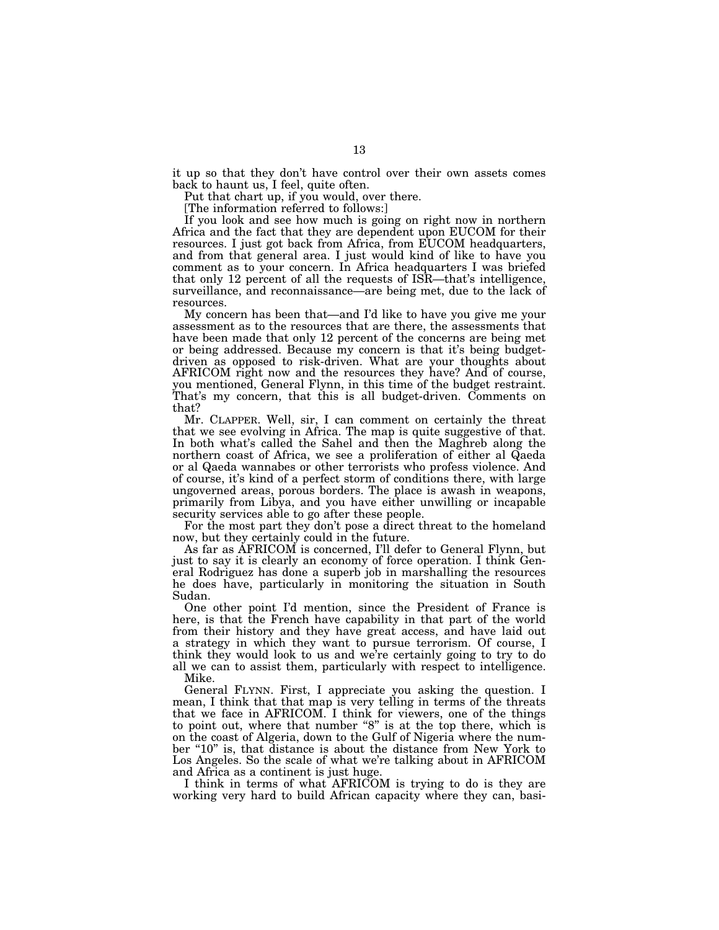it up so that they don't have control over their own assets comes back to haunt us, I feel, quite often.

Put that chart up, if you would, over there.

[The information referred to follows:]

If you look and see how much is going on right now in northern Africa and the fact that they are dependent upon EUCOM for their resources. I just got back from Africa, from EUCOM headquarters, and from that general area. I just would kind of like to have you comment as to your concern. In Africa headquarters I was briefed that only 12 percent of all the requests of ISR—that's intelligence, surveillance, and reconnaissance—are being met, due to the lack of resources.

My concern has been that—and I'd like to have you give me your assessment as to the resources that are there, the assessments that have been made that only 12 percent of the concerns are being met or being addressed. Because my concern is that it's being budgetdriven as opposed to risk-driven. What are your thoughts about AFRICOM right now and the resources they have? And of course, you mentioned, General Flynn, in this time of the budget restraint. That's my concern, that this is all budget-driven. Comments on that?

Mr. CLAPPER. Well, sir, I can comment on certainly the threat that we see evolving in Africa. The map is quite suggestive of that. In both what's called the Sahel and then the Maghreb along the northern coast of Africa, we see a proliferation of either al Qaeda or al Qaeda wannabes or other terrorists who profess violence. And of course, it's kind of a perfect storm of conditions there, with large ungoverned areas, porous borders. The place is awash in weapons, primarily from Libya, and you have either unwilling or incapable security services able to go after these people.

For the most part they don't pose a direct threat to the homeland now, but they certainly could in the future.

As far as AFRICOM is concerned, I'll defer to General Flynn, but just to say it is clearly an economy of force operation. I think General Rodriguez has done a superb job in marshalling the resources he does have, particularly in monitoring the situation in South Sudan.

One other point I'd mention, since the President of France is here, is that the French have capability in that part of the world from their history and they have great access, and have laid out a strategy in which they want to pursue terrorism. Of course, I think they would look to us and we're certainly going to try to do all we can to assist them, particularly with respect to intelligence. Mike.

General FLYNN. First, I appreciate you asking the question. I mean, I think that that map is very telling in terms of the threats that we face in AFRICOM. I think for viewers, one of the things to point out, where that number "8" is at the top there, which is on the coast of Algeria, down to the Gulf of Nigeria where the number "10" is, that distance is about the distance from New York to Los Angeles. So the scale of what we're talking about in AFRICOM and Africa as a continent is just huge.

I think in terms of what AFRICOM is trying to do is they are working very hard to build African capacity where they can, basi-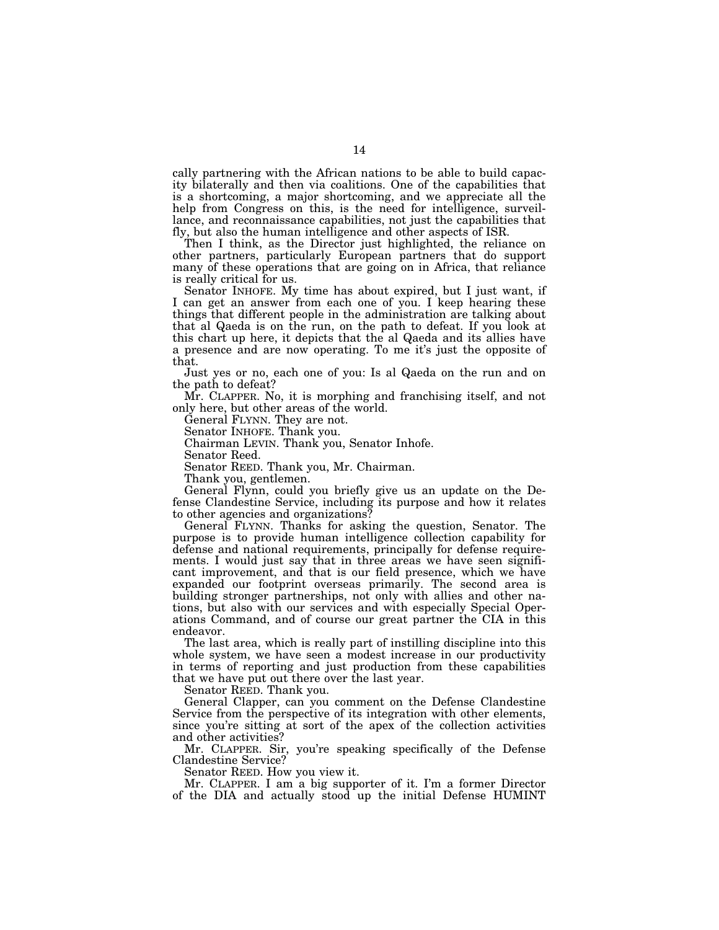cally partnering with the African nations to be able to build capacity bilaterally and then via coalitions. One of the capabilities that is a shortcoming, a major shortcoming, and we appreciate all the help from Congress on this, is the need for intelligence, surveillance, and reconnaissance capabilities, not just the capabilities that fly, but also the human intelligence and other aspects of ISR.

Then I think, as the Director just highlighted, the reliance on other partners, particularly European partners that do support many of these operations that are going on in Africa, that reliance is really critical for us.

Senator INHOFE. My time has about expired, but I just want, if I can get an answer from each one of you. I keep hearing these things that different people in the administration are talking about that al Qaeda is on the run, on the path to defeat. If you look at this chart up here, it depicts that the al Qaeda and its allies have a presence and are now operating. To me it's just the opposite of that.

Just yes or no, each one of you: Is al Qaeda on the run and on the path to defeat?

Mr. CLAPPER. No, it is morphing and franchising itself, and not only here, but other areas of the world.

General FLYNN. They are not.

Senator INHOFE. Thank you.

Chairman LEVIN. Thank you, Senator Inhofe.

Senator Reed.

Senator REED. Thank you, Mr. Chairman.

Thank you, gentlemen.

General Flynn, could you briefly give us an update on the Defense Clandestine Service, including its purpose and how it relates to other agencies and organizations?

General FLYNN. Thanks for asking the question, Senator. The purpose is to provide human intelligence collection capability for defense and national requirements, principally for defense requirements. I would just say that in three areas we have seen significant improvement, and that is our field presence, which we have expanded our footprint overseas primarily. The second area is building stronger partnerships, not only with allies and other nations, but also with our services and with especially Special Operations Command, and of course our great partner the CIA in this endeavor.

The last area, which is really part of instilling discipline into this whole system, we have seen a modest increase in our productivity in terms of reporting and just production from these capabilities that we have put out there over the last year.

Senator REED. Thank you.

General Clapper, can you comment on the Defense Clandestine Service from the perspective of its integration with other elements, since you're sitting at sort of the apex of the collection activities and other activities?

Mr. CLAPPER. Sir, you're speaking specifically of the Defense Clandestine Service?

Senator REED. How you view it.

Mr. CLAPPER. I am a big supporter of it. I'm a former Director of the DIA and actually stood up the initial Defense HUMINT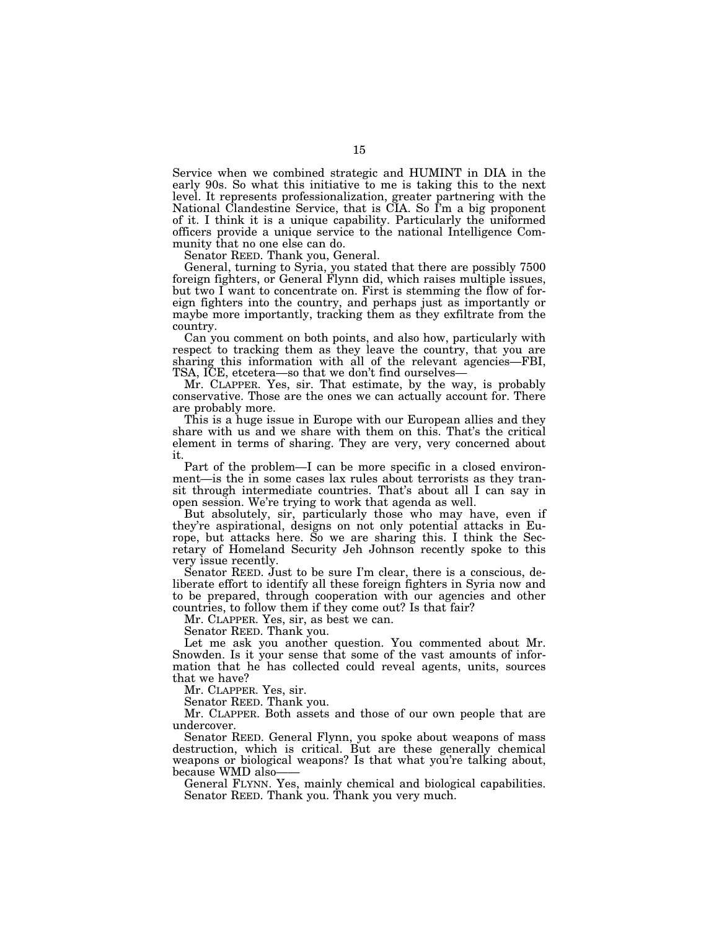Service when we combined strategic and HUMINT in DIA in the early 90s. So what this initiative to me is taking this to the next level. It represents professionalization, greater partnering with the National Clandestine Service, that is  $\widetilde{C}$ IA. So I'm a big proponent of it. I think it is a unique capability. Particularly the uniformed officers provide a unique service to the national Intelligence Community that no one else can do.

Senator REED. Thank you, General.

General, turning to Syria, you stated that there are possibly 7500 foreign fighters, or General Flynn did, which raises multiple issues, but two I want to concentrate on. First is stemming the flow of foreign fighters into the country, and perhaps just as importantly or maybe more importantly, tracking them as they exfiltrate from the country.

Can you comment on both points, and also how, particularly with respect to tracking them as they leave the country, that you are sharing this information with all of the relevant agencies—FBI, TSA, ICE, etcetera—so that we don't find ourselves—

Mr. CLAPPER. Yes, sir. That estimate, by the way, is probably conservative. Those are the ones we can actually account for. There are probably more.

This is a huge issue in Europe with our European allies and they share with us and we share with them on this. That's the critical element in terms of sharing. They are very, very concerned about it.

Part of the problem—I can be more specific in a closed environment—is the in some cases lax rules about terrorists as they transit through intermediate countries. That's about all I can say in open session. We're trying to work that agenda as well.

But absolutely, sir, particularly those who may have, even if they're aspirational, designs on not only potential attacks in Europe, but attacks here. So we are sharing this. I think the Secretary of Homeland Security Jeh Johnson recently spoke to this very issue recently.

Senator REED. Just to be sure I'm clear, there is a conscious, deliberate effort to identify all these foreign fighters in Syria now and to be prepared, through cooperation with our agencies and other countries, to follow them if they come out? Is that fair?

Mr. CLAPPER. Yes, sir, as best we can.

Senator REED. Thank you.

Let me ask you another question. You commented about Mr. Snowden. Is it your sense that some of the vast amounts of information that he has collected could reveal agents, units, sources that we have?

Mr. CLAPPER. Yes, sir.

Senator REED. Thank you.

Mr. CLAPPER. Both assets and those of our own people that are undercover.

Senator REED. General Flynn, you spoke about weapons of mass destruction, which is critical. But are these generally chemical weapons or biological weapons? Is that what you're talking about, because WMD also-

General FLYNN. Yes, mainly chemical and biological capabilities. Senator REED. Thank you. Thank you very much.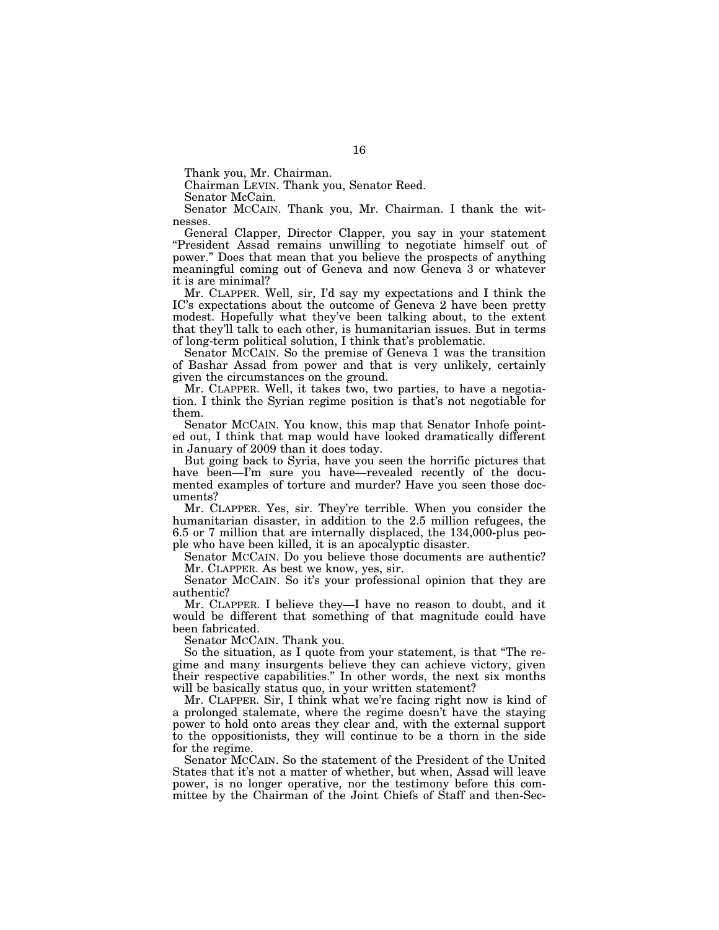Thank you, Mr. Chairman.

Chairman LEVIN. Thank you, Senator Reed.

Senator McCain.

Senator MCCAIN. Thank you, Mr. Chairman. I thank the witnesses.

General Clapper, Director Clapper, you say in your statement ''President Assad remains unwilling to negotiate himself out of power.'' Does that mean that you believe the prospects of anything meaningful coming out of Geneva and now Geneva 3 or whatever it is are minimal?

Mr. CLAPPER. Well, sir, I'd say my expectations and I think the IC's expectations about the outcome of Geneva 2 have been pretty modest. Hopefully what they've been talking about, to the extent that they'll talk to each other, is humanitarian issues. But in terms of long-term political solution, I think that's problematic.

Senator MCCAIN. So the premise of Geneva 1 was the transition of Bashar Assad from power and that is very unlikely, certainly given the circumstances on the ground.

Mr. CLAPPER. Well, it takes two, two parties, to have a negotiation. I think the Syrian regime position is that's not negotiable for them.

Senator MCCAIN. You know, this map that Senator Inhofe pointed out, I think that map would have looked dramatically different in January of 2009 than it does today.

But going back to Syria, have you seen the horrific pictures that have been—I'm sure you have—revealed recently of the documented examples of torture and murder? Have you seen those documents?

Mr. CLAPPER. Yes, sir. They're terrible. When you consider the humanitarian disaster, in addition to the 2.5 million refugees, the 6.5 or 7 million that are internally displaced, the 134,000-plus people who have been killed, it is an apocalyptic disaster.

Senator MCCAIN. Do you believe those documents are authentic? Mr. CLAPPER. As best we know, yes, sir.

Senator MCCAIN. So it's your professional opinion that they are authentic?

Mr. CLAPPER. I believe they—I have no reason to doubt, and it would be different that something of that magnitude could have been fabricated.

Senator MCCAIN. Thank you.

So the situation, as I quote from your statement, is that ''The regime and many insurgents believe they can achieve victory, given their respective capabilities.'' In other words, the next six months will be basically status quo, in your written statement?

Mr. CLAPPER. Sir, I think what we're facing right now is kind of a prolonged stalemate, where the regime doesn't have the staying power to hold onto areas they clear and, with the external support to the oppositionists, they will continue to be a thorn in the side for the regime.

Senator MCCAIN. So the statement of the President of the United States that it's not a matter of whether, but when, Assad will leave power, is no longer operative, nor the testimony before this committee by the Chairman of the Joint Chiefs of Staff and then-Sec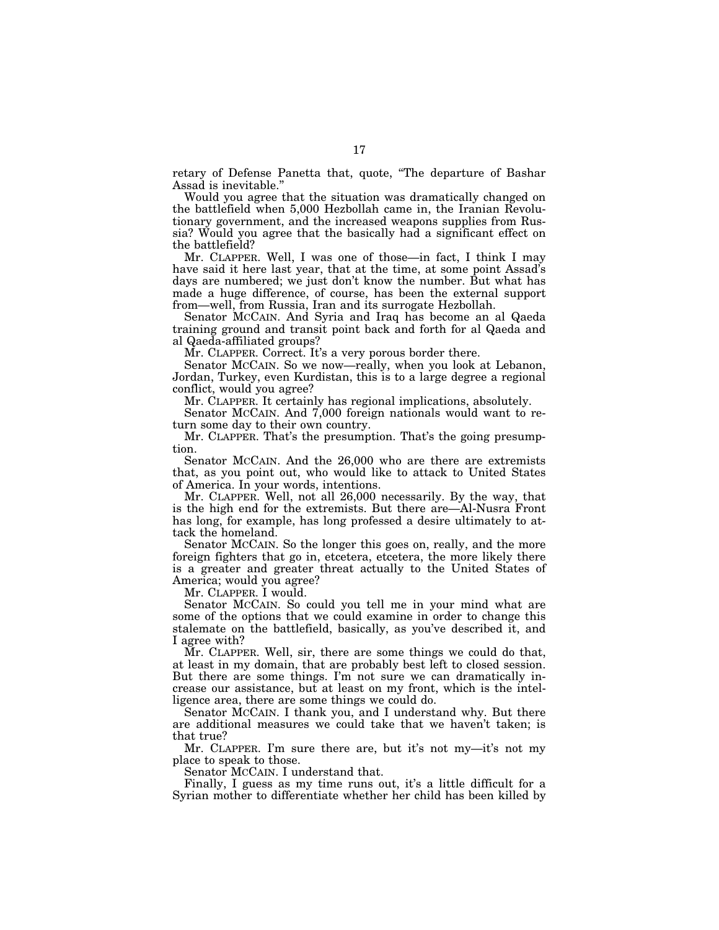retary of Defense Panetta that, quote, ''The departure of Bashar Assad is inevitable.''

Would you agree that the situation was dramatically changed on the battlefield when 5,000 Hezbollah came in, the Iranian Revolutionary government, and the increased weapons supplies from Russia? Would you agree that the basically had a significant effect on the battlefield?

Mr. CLAPPER. Well, I was one of those—in fact, I think I may have said it here last year, that at the time, at some point Assad's days are numbered; we just don't know the number. But what has made a huge difference, of course, has been the external support from—well, from Russia, Iran and its surrogate Hezbollah.

Senator MCCAIN. And Syria and Iraq has become an al Qaeda training ground and transit point back and forth for al Qaeda and al Qaeda-affiliated groups?

Mr. CLAPPER. Correct. It's a very porous border there.

Senator MCCAIN. So we now—really, when you look at Lebanon, Jordan, Turkey, even Kurdistan, this is to a large degree a regional conflict, would you agree?

Mr. CLAPPER. It certainly has regional implications, absolutely.

Senator MCCAIN. And 7,000 foreign nationals would want to return some day to their own country.

Mr. CLAPPER. That's the presumption. That's the going presumption.

Senator MCCAIN. And the 26,000 who are there are extremists that, as you point out, who would like to attack to United States of America. In your words, intentions.

Mr. CLAPPER. Well, not all 26,000 necessarily. By the way, that is the high end for the extremists. But there are—Al-Nusra Front has long, for example, has long professed a desire ultimately to attack the homeland.

Senator MCCAIN. So the longer this goes on, really, and the more foreign fighters that go in, etcetera, etcetera, the more likely there is a greater and greater threat actually to the United States of America; would you agree?

Mr. CLAPPER. I would.

Senator MCCAIN. So could you tell me in your mind what are some of the options that we could examine in order to change this stalemate on the battlefield, basically, as you've described it, and I agree with?

Mr. CLAPPER. Well, sir, there are some things we could do that, at least in my domain, that are probably best left to closed session. But there are some things. I'm not sure we can dramatically increase our assistance, but at least on my front, which is the intelligence area, there are some things we could do.

Senator MCCAIN. I thank you, and I understand why. But there are additional measures we could take that we haven't taken; is that true?

Mr. CLAPPER. I'm sure there are, but it's not my—it's not my place to speak to those.

Senator MCCAIN. I understand that.

Finally, I guess as my time runs out, it's a little difficult for a Syrian mother to differentiate whether her child has been killed by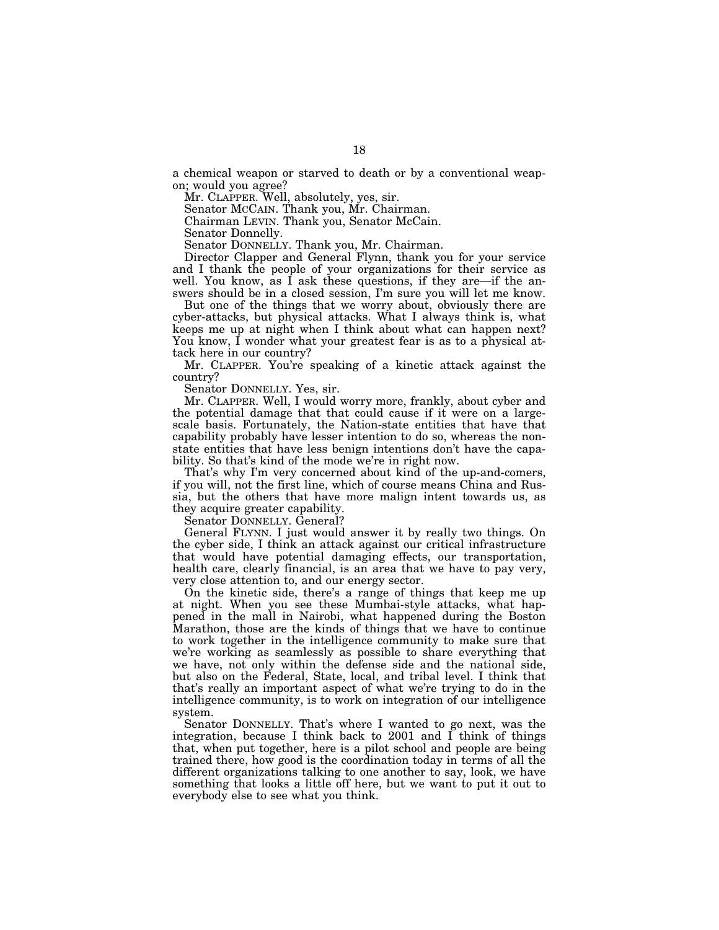a chemical weapon or starved to death or by a conventional weapon; would you agree?

Mr. CLAPPER. Well, absolutely, yes, sir.

Senator MCCAIN. Thank you, Mr. Chairman.

Chairman LEVIN. Thank you, Senator McCain.

Senator Donnelly.

Senator DONNELLY. Thank you, Mr. Chairman.

Director Clapper and General Flynn, thank you for your service and I thank the people of your organizations for their service as well. You know, as I ask these questions, if they are—if the answers should be in a closed session, I'm sure you will let me know.

But one of the things that we worry about, obviously there are cyber-attacks, but physical attacks. What I always think is, what keeps me up at night when I think about what can happen next? You know, I wonder what your greatest fear is as to a physical attack here in our country?

Mr. CLAPPER. You're speaking of a kinetic attack against the country?

Senator DONNELLY. Yes, sir.

Mr. CLAPPER. Well, I would worry more, frankly, about cyber and the potential damage that that could cause if it were on a largescale basis. Fortunately, the Nation-state entities that have that capability probably have lesser intention to do so, whereas the nonstate entities that have less benign intentions don't have the capability. So that's kind of the mode we're in right now.

That's why I'm very concerned about kind of the up-and-comers, if you will, not the first line, which of course means China and Russia, but the others that have more malign intent towards us, as they acquire greater capability.

Senator DONNELLY. General?

General FLYNN. I just would answer it by really two things. On the cyber side, I think an attack against our critical infrastructure that would have potential damaging effects, our transportation, health care, clearly financial, is an area that we have to pay very, very close attention to, and our energy sector.

On the kinetic side, there's a range of things that keep me up at night. When you see these Mumbai-style attacks, what happened in the mall in Nairobi, what happened during the Boston Marathon, those are the kinds of things that we have to continue to work together in the intelligence community to make sure that we're working as seamlessly as possible to share everything that we have, not only within the defense side and the national side, but also on the Federal, State, local, and tribal level. I think that that's really an important aspect of what we're trying to do in the intelligence community, is to work on integration of our intelligence system.

Senator DONNELLY. That's where I wanted to go next, was the integration, because I think back to 2001 and I think of things that, when put together, here is a pilot school and people are being trained there, how good is the coordination today in terms of all the different organizations talking to one another to say, look, we have something that looks a little off here, but we want to put it out to everybody else to see what you think.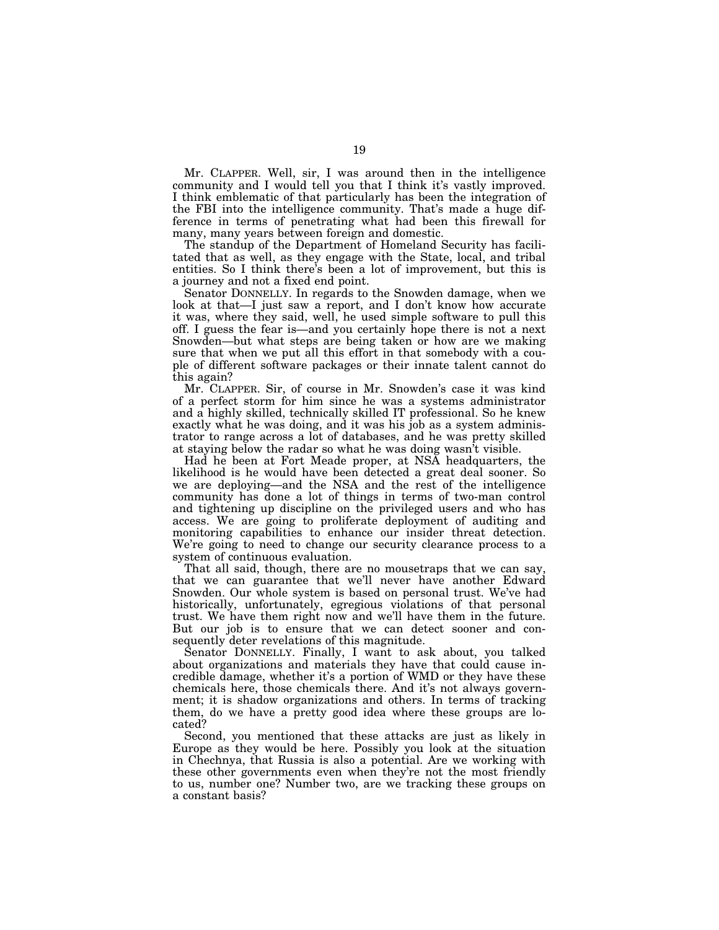Mr. CLAPPER. Well, sir, I was around then in the intelligence community and I would tell you that I think it's vastly improved. I think emblematic of that particularly has been the integration of the FBI into the intelligence community. That's made a huge difference in terms of penetrating what had been this firewall for many, many years between foreign and domestic.

The standup of the Department of Homeland Security has facilitated that as well, as they engage with the State, local, and tribal entities. So I think there's been a lot of improvement, but this is a journey and not a fixed end point.

Senator DONNELLY. In regards to the Snowden damage, when we look at that—I just saw a report, and I don't know how accurate it was, where they said, well, he used simple software to pull this off. I guess the fear is—and you certainly hope there is not a next Snowden—but what steps are being taken or how are we making sure that when we put all this effort in that somebody with a couple of different software packages or their innate talent cannot do this again?

Mr. CLAPPER. Sir, of course in Mr. Snowden's case it was kind of a perfect storm for him since he was a systems administrator and a highly skilled, technically skilled IT professional. So he knew exactly what he was doing, and it was his job as a system administrator to range across a lot of databases, and he was pretty skilled at staying below the radar so what he was doing wasn't visible.

Had he been at Fort Meade proper, at NSA headquarters, the likelihood is he would have been detected a great deal sooner. So we are deploying—and the NSA and the rest of the intelligence community has done a lot of things in terms of two-man control and tightening up discipline on the privileged users and who has access. We are going to proliferate deployment of auditing and monitoring capabilities to enhance our insider threat detection. We're going to need to change our security clearance process to a system of continuous evaluation.

That all said, though, there are no mousetraps that we can say, that we can guarantee that we'll never have another Edward Snowden. Our whole system is based on personal trust. We've had historically, unfortunately, egregious violations of that personal trust. We have them right now and we'll have them in the future. But our job is to ensure that we can detect sooner and consequently deter revelations of this magnitude.

Senator DONNELLY. Finally, I want to ask about, you talked about organizations and materials they have that could cause incredible damage, whether it's a portion of WMD or they have these chemicals here, those chemicals there. And it's not always government; it is shadow organizations and others. In terms of tracking them, do we have a pretty good idea where these groups are located?

Second, you mentioned that these attacks are just as likely in Europe as they would be here. Possibly you look at the situation in Chechnya, that Russia is also a potential. Are we working with these other governments even when they're not the most friendly to us, number one? Number two, are we tracking these groups on a constant basis?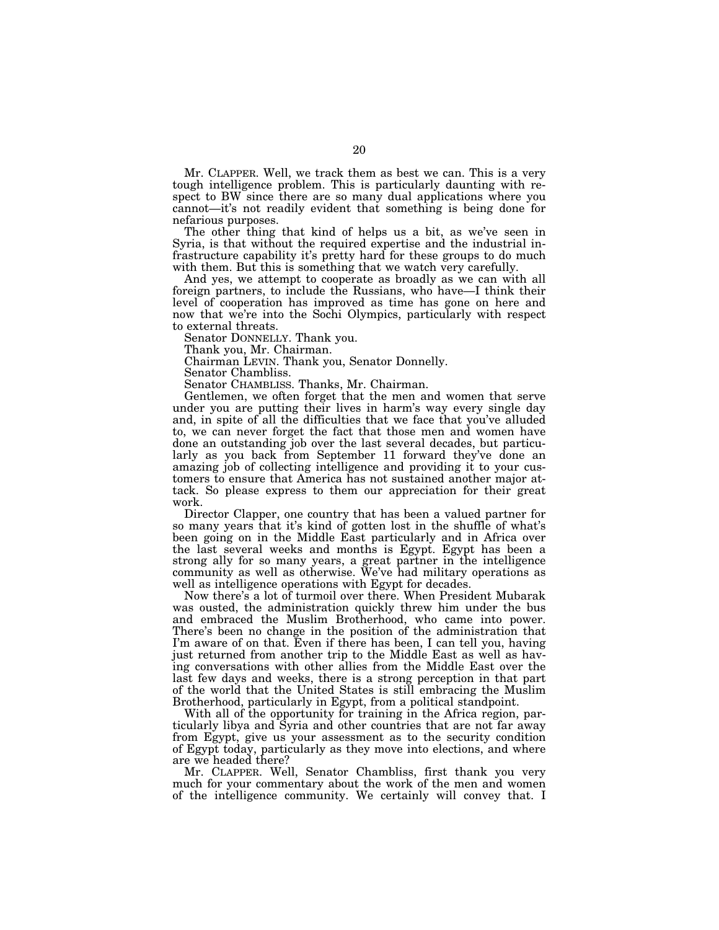Mr. CLAPPER. Well, we track them as best we can. This is a very tough intelligence problem. This is particularly daunting with respect to BW since there are so many dual applications where you cannot—it's not readily evident that something is being done for nefarious purposes.

The other thing that kind of helps us a bit, as we've seen in Syria, is that without the required expertise and the industrial infrastructure capability it's pretty hard for these groups to do much with them. But this is something that we watch very carefully.

And yes, we attempt to cooperate as broadly as we can with all foreign partners, to include the Russians, who have—I think their level of cooperation has improved as time has gone on here and now that we're into the Sochi Olympics, particularly with respect to external threats.

Senator DONNELLY. Thank you.

Thank you, Mr. Chairman.

Chairman LEVIN. Thank you, Senator Donnelly.

Senator Chambliss. Senator CHAMBLISS. Thanks, Mr. Chairman.

Gentlemen, we often forget that the men and women that serve under you are putting their lives in harm's way every single day and, in spite of all the difficulties that we face that you've alluded to, we can never forget the fact that those men and women have done an outstanding job over the last several decades, but particularly as you back from September 11 forward they've done an amazing job of collecting intelligence and providing it to your customers to ensure that America has not sustained another major attack. So please express to them our appreciation for their great work.

Director Clapper, one country that has been a valued partner for so many years that it's kind of gotten lost in the shuffle of what's been going on in the Middle East particularly and in Africa over the last several weeks and months is Egypt. Egypt has been a strong ally for so many years, a great partner in the intelligence community as well as otherwise. We've had military operations as well as intelligence operations with Egypt for decades.

Now there's a lot of turmoil over there. When President Mubarak was ousted, the administration quickly threw him under the bus and embraced the Muslim Brotherhood, who came into power. There's been no change in the position of the administration that I'm aware of on that. Even if there has been, I can tell you, having just returned from another trip to the Middle East as well as having conversations with other allies from the Middle East over the last few days and weeks, there is a strong perception in that part of the world that the United States is still embracing the Muslim Brotherhood, particularly in Egypt, from a political standpoint.

With all of the opportunity for training in the Africa region, particularly libya and Syria and other countries that are not far away from Egypt, give us your assessment as to the security condition of Egypt today, particularly as they move into elections, and where are we headed there?

Mr. CLAPPER. Well, Senator Chambliss, first thank you very much for your commentary about the work of the men and women of the intelligence community. We certainly will convey that. I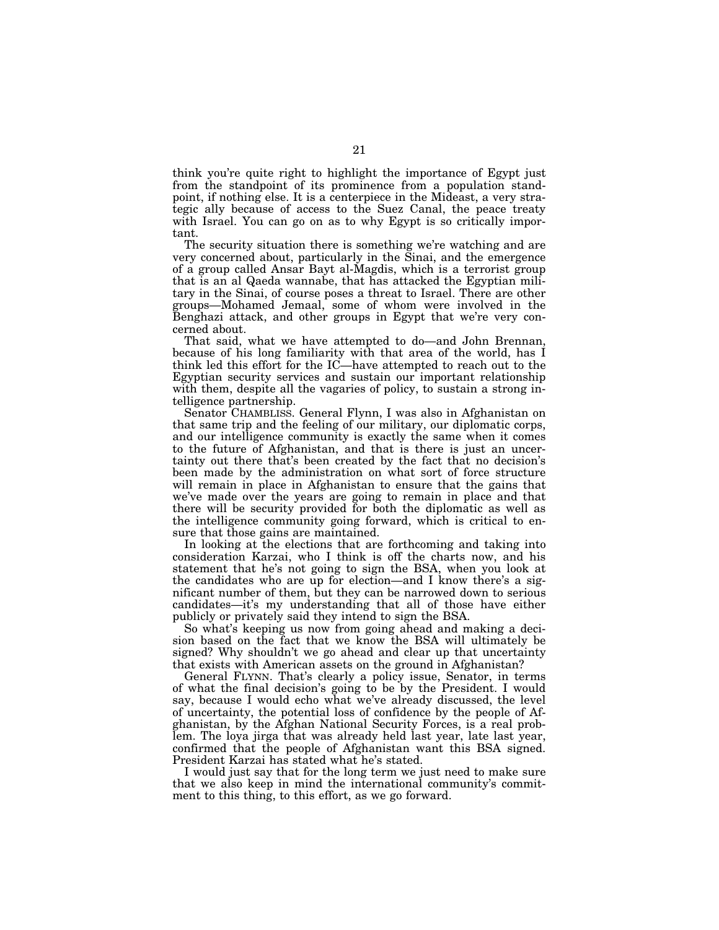think you're quite right to highlight the importance of Egypt just from the standpoint of its prominence from a population standpoint, if nothing else. It is a centerpiece in the Mideast, a very strategic ally because of access to the Suez Canal, the peace treaty with Israel. You can go on as to why Egypt is so critically important.

The security situation there is something we're watching and are very concerned about, particularly in the Sinai, and the emergence of a group called Ansar Bayt al-Magdis, which is a terrorist group that is an al Qaeda wannabe, that has attacked the Egyptian military in the Sinai, of course poses a threat to Israel. There are other groups—Mohamed Jemaal, some of whom were involved in the Benghazi attack, and other groups in Egypt that we're very concerned about.

That said, what we have attempted to do—and John Brennan, because of his long familiarity with that area of the world, has I think led this effort for the IC—have attempted to reach out to the Egyptian security services and sustain our important relationship with them, despite all the vagaries of policy, to sustain a strong intelligence partnership.

Senator CHAMBLISS. General Flynn, I was also in Afghanistan on that same trip and the feeling of our military, our diplomatic corps, and our intelligence community is exactly the same when it comes to the future of Afghanistan, and that is there is just an uncertainty out there that's been created by the fact that no decision's been made by the administration on what sort of force structure will remain in place in Afghanistan to ensure that the gains that we've made over the years are going to remain in place and that there will be security provided for both the diplomatic as well as the intelligence community going forward, which is critical to ensure that those gains are maintained.

In looking at the elections that are forthcoming and taking into consideration Karzai, who I think is off the charts now, and his statement that he's not going to sign the BSA, when you look at the candidates who are up for election—and I know there's a significant number of them, but they can be narrowed down to serious candidates—it's my understanding that all of those have either publicly or privately said they intend to sign the BSA.

So what's keeping us now from going ahead and making a decision based on the fact that we know the BSA will ultimately be signed? Why shouldn't we go ahead and clear up that uncertainty that exists with American assets on the ground in Afghanistan?

General FLYNN. That's clearly a policy issue, Senator, in terms of what the final decision's going to be by the President. I would say, because I would echo what we've already discussed, the level of uncertainty, the potential loss of confidence by the people of Afghanistan, by the Afghan National Security Forces, is a real problem. The loya jirga that was already held last year, late last year, confirmed that the people of Afghanistan want this BSA signed. President Karzai has stated what he's stated.

I would just say that for the long term we just need to make sure that we also keep in mind the international community's commitment to this thing, to this effort, as we go forward.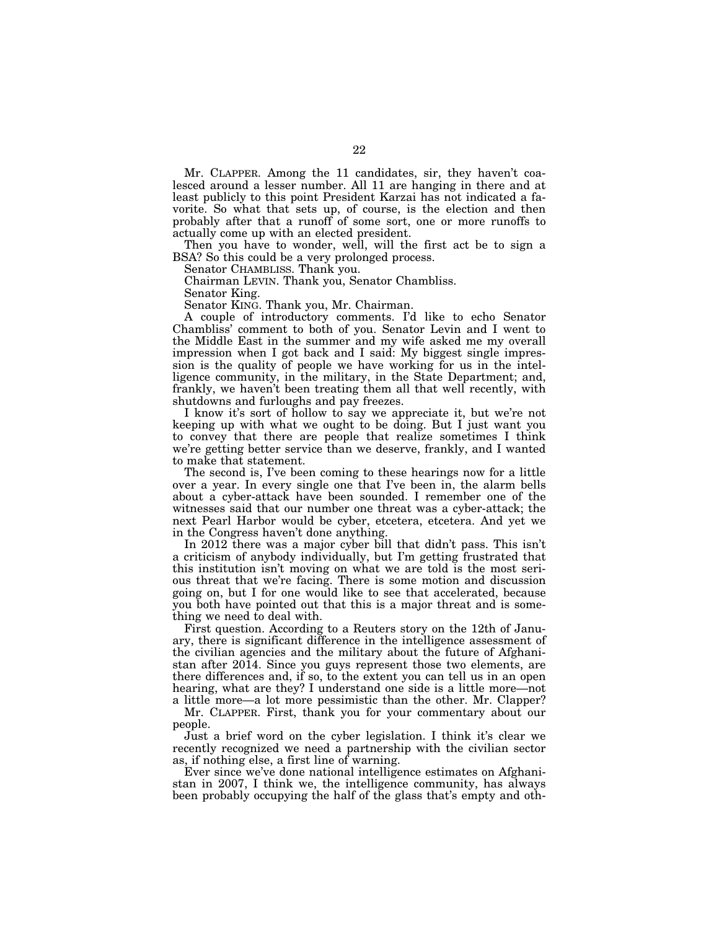Mr. CLAPPER. Among the 11 candidates, sir, they haven't coalesced around a lesser number. All 11 are hanging in there and at least publicly to this point President Karzai has not indicated a favorite. So what that sets up, of course, is the election and then probably after that a runoff of some sort, one or more runoffs to actually come up with an elected president.

Then you have to wonder, well, will the first act be to sign a BSA? So this could be a very prolonged process.

Senator CHAMBLISS. Thank you.

Chairman LEVIN. Thank you, Senator Chambliss.

Senator King.

Senator KING. Thank you, Mr. Chairman.

A couple of introductory comments. I'd like to echo Senator Chambliss' comment to both of you. Senator Levin and I went to the Middle East in the summer and my wife asked me my overall impression when I got back and I said: My biggest single impression is the quality of people we have working for us in the intelligence community, in the military, in the State Department; and, frankly, we haven't been treating them all that well recently, with shutdowns and furloughs and pay freezes.

I know it's sort of hollow to say we appreciate it, but we're not keeping up with what we ought to be doing. But I just want you to convey that there are people that realize sometimes I think we're getting better service than we deserve, frankly, and I wanted to make that statement.

The second is, I've been coming to these hearings now for a little over a year. In every single one that I've been in, the alarm bells about a cyber-attack have been sounded. I remember one of the witnesses said that our number one threat was a cyber-attack; the next Pearl Harbor would be cyber, etcetera, etcetera. And yet we in the Congress haven't done anything.

In 2012 there was a major cyber bill that didn't pass. This isn't a criticism of anybody individually, but I'm getting frustrated that this institution isn't moving on what we are told is the most serious threat that we're facing. There is some motion and discussion going on, but I for one would like to see that accelerated, because you both have pointed out that this is a major threat and is something we need to deal with.

First question. According to a Reuters story on the 12th of January, there is significant difference in the intelligence assessment of the civilian agencies and the military about the future of Afghanistan after 2014. Since you guys represent those two elements, are there differences and, if so, to the extent you can tell us in an open hearing, what are they? I understand one side is a little more—not a little more—a lot more pessimistic than the other. Mr. Clapper?

Mr. CLAPPER. First, thank you for your commentary about our people.

Just a brief word on the cyber legislation. I think it's clear we recently recognized we need a partnership with the civilian sector as, if nothing else, a first line of warning.

Ever since we've done national intelligence estimates on Afghanistan in 2007, I think we, the intelligence community, has always been probably occupying the half of the glass that's empty and oth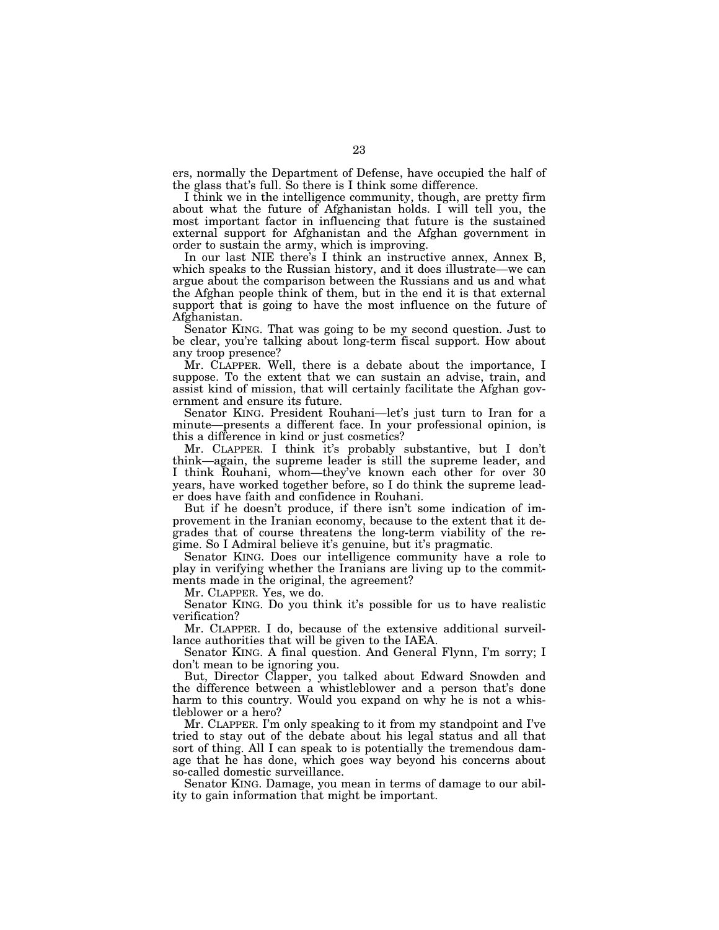ers, normally the Department of Defense, have occupied the half of the glass that's full. So there is I think some difference.

I think we in the intelligence community, though, are pretty firm about what the future of Afghanistan holds. I will tell you, the most important factor in influencing that future is the sustained external support for Afghanistan and the Afghan government in order to sustain the army, which is improving.

In our last NIE there's I think an instructive annex, Annex B, which speaks to the Russian history, and it does illustrate—we can argue about the comparison between the Russians and us and what the Afghan people think of them, but in the end it is that external support that is going to have the most influence on the future of Afghanistan.

Senator KING. That was going to be my second question. Just to be clear, you're talking about long-term fiscal support. How about any troop presence?

Mr. CLAPPER. Well, there is a debate about the importance, I suppose. To the extent that we can sustain an advise, train, and assist kind of mission, that will certainly facilitate the Afghan government and ensure its future.

Senator KING. President Rouhani—let's just turn to Iran for a minute—presents a different face. In your professional opinion, is this a difference in kind or just cosmetics?

Mr. CLAPPER. I think it's probably substantive, but I don't think—again, the supreme leader is still the supreme leader, and I think Rouhani, whom—they've known each other for over 30 years, have worked together before, so I do think the supreme leader does have faith and confidence in Rouhani.

But if he doesn't produce, if there isn't some indication of improvement in the Iranian economy, because to the extent that it degrades that of course threatens the long-term viability of the regime. So I Admiral believe it's genuine, but it's pragmatic.

Senator KING. Does our intelligence community have a role to play in verifying whether the Iranians are living up to the commitments made in the original, the agreement?

Mr. CLAPPER. Yes, we do.

Senator KING. Do you think it's possible for us to have realistic verification?

Mr. CLAPPER. I do, because of the extensive additional surveillance authorities that will be given to the IAEA.

Senator KING. A final question. And General Flynn, I'm sorry; I don't mean to be ignoring you.

But, Director Clapper, you talked about Edward Snowden and the difference between a whistleblower and a person that's done harm to this country. Would you expand on why he is not a whistleblower or a hero?

Mr. CLAPPER. I'm only speaking to it from my standpoint and I've tried to stay out of the debate about his legal status and all that sort of thing. All I can speak to is potentially the tremendous damage that he has done, which goes way beyond his concerns about so-called domestic surveillance.

Senator KING. Damage, you mean in terms of damage to our ability to gain information that might be important.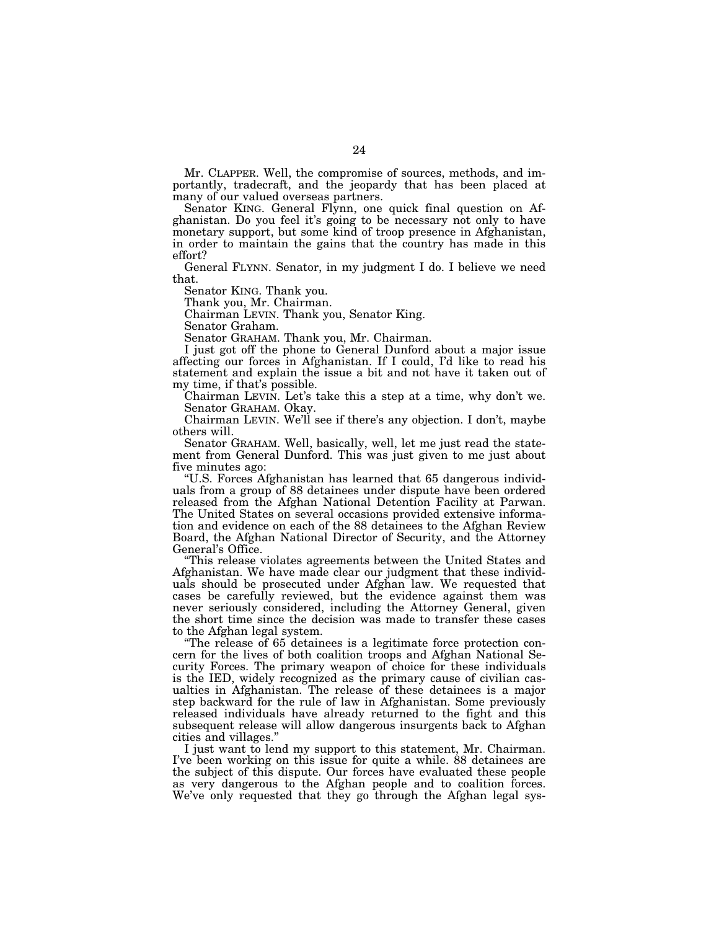Mr. CLAPPER. Well, the compromise of sources, methods, and importantly, tradecraft, and the jeopardy that has been placed at many of our valued overseas partners.

Senator KING. General Flynn, one quick final question on Afghanistan. Do you feel it's going to be necessary not only to have monetary support, but some kind of troop presence in Afghanistan, in order to maintain the gains that the country has made in this effort?

General FLYNN. Senator, in my judgment I do. I believe we need that.

Senator KING. Thank you.

Thank you, Mr. Chairman.

Chairman LEVIN. Thank you, Senator King.

Senator Graham.

Senator GRAHAM. Thank you, Mr. Chairman.

I just got off the phone to General Dunford about a major issue affecting our forces in Afghanistan. If I could, I'd like to read his statement and explain the issue a bit and not have it taken out of my time, if that's possible.

Chairman LEVIN. Let's take this a step at a time, why don't we. Senator GRAHAM. Okay.

Chairman LEVIN. We'll see if there's any objection. I don't, maybe others will.

Senator GRAHAM. Well, basically, well, let me just read the statement from General Dunford. This was just given to me just about five minutes ago:

''U.S. Forces Afghanistan has learned that 65 dangerous individuals from a group of 88 detainees under dispute have been ordered released from the Afghan National Detention Facility at Parwan. The United States on several occasions provided extensive information and evidence on each of the 88 detainees to the Afghan Review Board, the Afghan National Director of Security, and the Attorney General's Office.

''This release violates agreements between the United States and Afghanistan. We have made clear our judgment that these individuals should be prosecuted under Afghan law. We requested that cases be carefully reviewed, but the evidence against them was never seriously considered, including the Attorney General, given the short time since the decision was made to transfer these cases to the Afghan legal system.

''The release of 65 detainees is a legitimate force protection concern for the lives of both coalition troops and Afghan National Security Forces. The primary weapon of choice for these individuals is the IED, widely recognized as the primary cause of civilian casualties in Afghanistan. The release of these detainees is a major step backward for the rule of law in Afghanistan. Some previously released individuals have already returned to the fight and this subsequent release will allow dangerous insurgents back to Afghan cities and villages.''

I just want to lend my support to this statement, Mr. Chairman. I've been working on this issue for quite a while. 88 detainees are the subject of this dispute. Our forces have evaluated these people as very dangerous to the Afghan people and to coalition forces. We've only requested that they go through the Afghan legal sys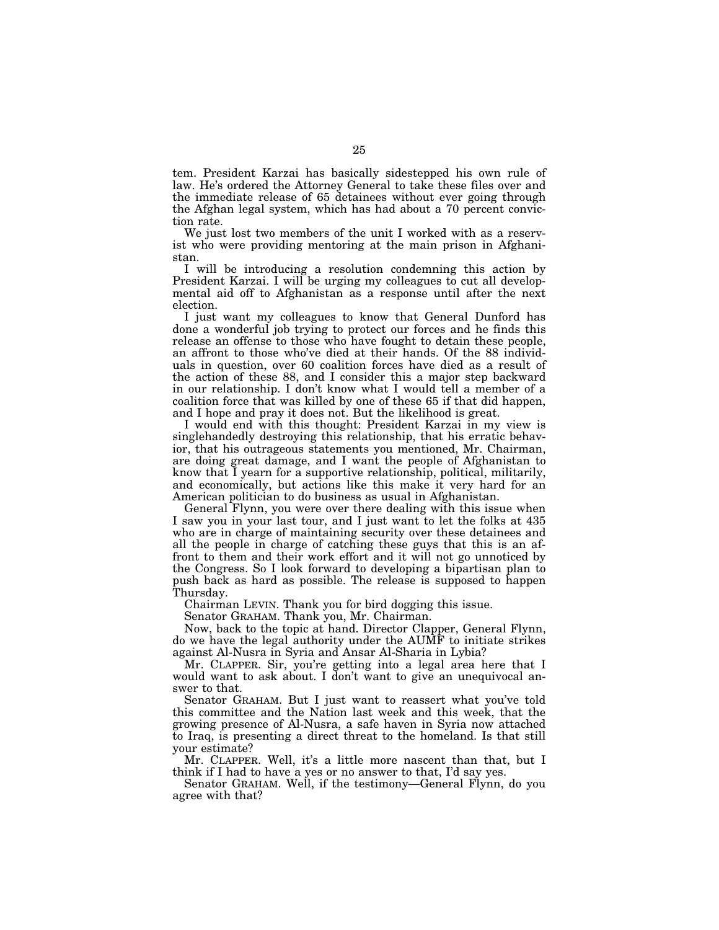tem. President Karzai has basically sidestepped his own rule of law. He's ordered the Attorney General to take these files over and the immediate release of 65 detainees without ever going through the Afghan legal system, which has had about a 70 percent conviction rate.

We just lost two members of the unit I worked with as a reservist who were providing mentoring at the main prison in Afghanistan.

I will be introducing a resolution condemning this action by President Karzai. I will be urging my colleagues to cut all developmental aid off to Afghanistan as a response until after the next election.

I just want my colleagues to know that General Dunford has done a wonderful job trying to protect our forces and he finds this release an offense to those who have fought to detain these people, an affront to those who've died at their hands. Of the 88 individuals in question, over 60 coalition forces have died as a result of the action of these 88, and I consider this a major step backward in our relationship. I don't know what I would tell a member of a coalition force that was killed by one of these 65 if that did happen, and I hope and pray it does not. But the likelihood is great.

I would end with this thought: President Karzai in my view is singlehandedly destroying this relationship, that his erratic behavior, that his outrageous statements you mentioned, Mr. Chairman, are doing great damage, and I want the people of Afghanistan to know that I yearn for a supportive relationship, political, militarily, and economically, but actions like this make it very hard for an American politician to do business as usual in Afghanistan.

General Flynn, you were over there dealing with this issue when I saw you in your last tour, and I just want to let the folks at 435 who are in charge of maintaining security over these detainees and all the people in charge of catching these guys that this is an affront to them and their work effort and it will not go unnoticed by the Congress. So I look forward to developing a bipartisan plan to push back as hard as possible. The release is supposed to happen Thursday.

Chairman LEVIN. Thank you for bird dogging this issue.

Senator GRAHAM. Thank you, Mr. Chairman.

Now, back to the topic at hand. Director Clapper, General Flynn, do we have the legal authority under the AUMF to initiate strikes against Al-Nusra in Syria and Ansar Al-Sharia in Lybia?

Mr. CLAPPER. Sir, you're getting into a legal area here that I would want to ask about. I don't want to give an unequivocal answer to that.

Senator GRAHAM. But I just want to reassert what you've told this committee and the Nation last week and this week, that the growing presence of Al-Nusra, a safe haven in Syria now attached to Iraq, is presenting a direct threat to the homeland. Is that still your estimate?

Mr. CLAPPER. Well, it's a little more nascent than that, but I think if I had to have a yes or no answer to that, I'd say yes.

Senator GRAHAM. Well, if the testimony—General Flynn, do you agree with that?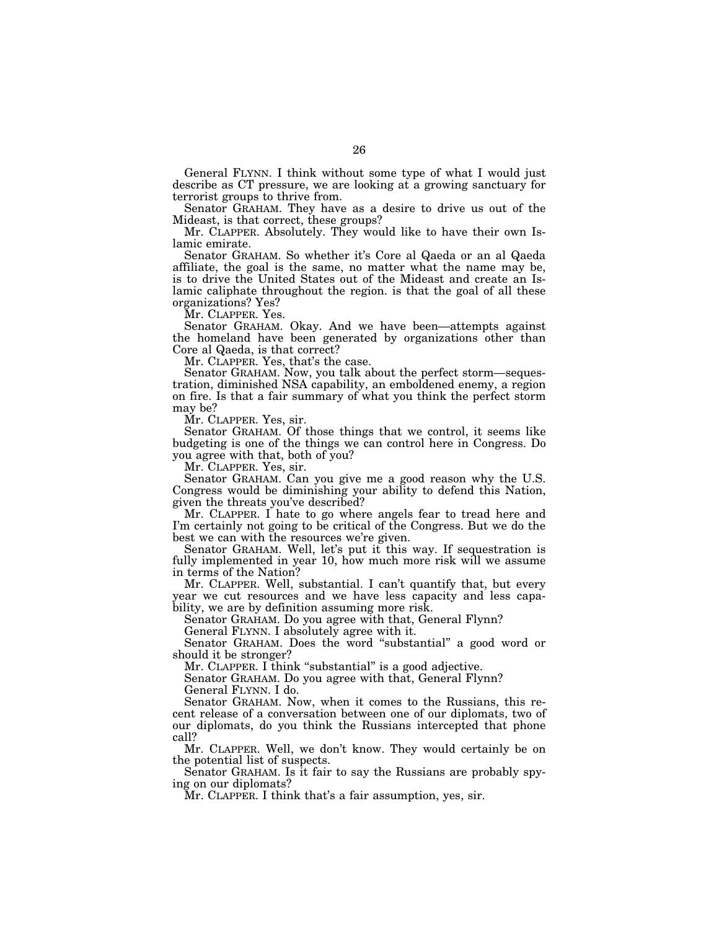General FLYNN. I think without some type of what I would just describe as CT pressure, we are looking at a growing sanctuary for terrorist groups to thrive from.

Senator GRAHAM. They have as a desire to drive us out of the Mideast, is that correct, these groups?

Mr. CLAPPER. Absolutely. They would like to have their own Islamic emirate.

Senator GRAHAM. So whether it's Core al Qaeda or an al Qaeda affiliate, the goal is the same, no matter what the name may be, is to drive the United States out of the Mideast and create an Islamic caliphate throughout the region. is that the goal of all these organizations? Yes?

Mr. CLAPPER. Yes.

Senator GRAHAM. Okay. And we have been—attempts against the homeland have been generated by organizations other than Core al Qaeda, is that correct?

Mr. CLAPPER. Yes, that's the case.

Senator GRAHAM. Now, you talk about the perfect storm—sequestration, diminished NSA capability, an emboldened enemy, a region on fire. Is that a fair summary of what you think the perfect storm may be?

Mr. CLAPPER. Yes, sir.

Senator GRAHAM. Of those things that we control, it seems like budgeting is one of the things we can control here in Congress. Do you agree with that, both of you?

Mr. CLAPPER. Yes, sir.

Senator GRAHAM. Can you give me a good reason why the U.S. Congress would be diminishing your ability to defend this Nation, given the threats you've described?

Mr. CLAPPER. I hate to go where angels fear to tread here and I'm certainly not going to be critical of the Congress. But we do the best we can with the resources we're given.

Senator GRAHAM. Well, let's put it this way. If sequestration is fully implemented in year 10, how much more risk will we assume in terms of the Nation?

Mr. CLAPPER. Well, substantial. I can't quantify that, but every year we cut resources and we have less capacity and less capability, we are by definition assuming more risk.

Senator GRAHAM. Do you agree with that, General Flynn?

General FLYNN. I absolutely agree with it.

Senator GRAHAM. Does the word ''substantial'' a good word or should it be stronger?

Mr. CLAPPER. I think "substantial" is a good adjective.

Senator GRAHAM. Do you agree with that, General Flynn? General FLYNN. I do.

Senator GRAHAM. Now, when it comes to the Russians, this recent release of a conversation between one of our diplomats, two of our diplomats, do you think the Russians intercepted that phone call?

Mr. CLAPPER. Well, we don't know. They would certainly be on the potential list of suspects.

Senator GRAHAM. Is it fair to say the Russians are probably spying on our diplomats?

Mr. CLAPPER. I think that's a fair assumption, yes, sir.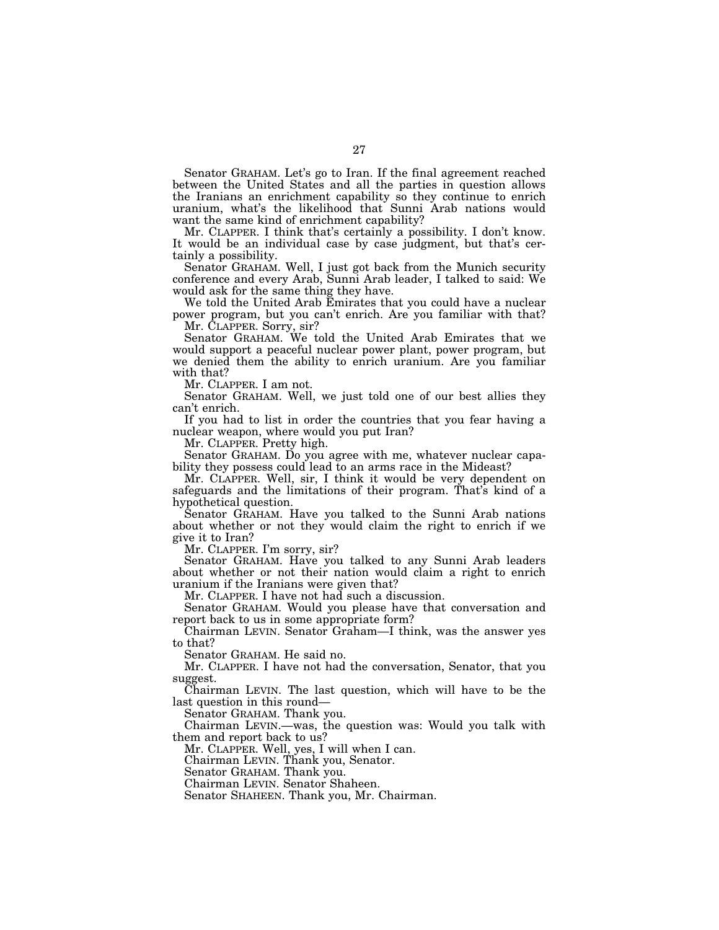Senator GRAHAM. Let's go to Iran. If the final agreement reached between the United States and all the parties in question allows the Iranians an enrichment capability so they continue to enrich uranium, what's the likelihood that Sunni Arab nations would want the same kind of enrichment capability?

Mr. CLAPPER. I think that's certainly a possibility. I don't know. It would be an individual case by case judgment, but that's certainly a possibility.

Senator GRAHAM. Well, I just got back from the Munich security conference and every Arab, Sunni Arab leader, I talked to said: We would ask for the same thing they have.

We told the United Arab Emirates that you could have a nuclear power program, but you can't enrich. Are you familiar with that? Mr. CLAPPER. Sorry, sir?

Senator GRAHAM. We told the United Arab Emirates that we would support a peaceful nuclear power plant, power program, but we denied them the ability to enrich uranium. Are you familiar with that?

Mr. CLAPPER. I am not.

Senator GRAHAM. Well, we just told one of our best allies they can't enrich.

If you had to list in order the countries that you fear having a nuclear weapon, where would you put Iran?

Mr. CLAPPER. Pretty high.

Senator GRAHAM. Do you agree with me, whatever nuclear capability they possess could lead to an arms race in the Mideast?

Mr. CLAPPER. Well, sir, I think it would be very dependent on safeguards and the limitations of their program. That's kind of a hypothetical question.

Senator GRAHAM. Have you talked to the Sunni Arab nations about whether or not they would claim the right to enrich if we give it to Iran?

Mr. CLAPPER. I'm sorry, sir?

Senator GRAHAM. Have you talked to any Sunni Arab leaders about whether or not their nation would claim a right to enrich uranium if the Iranians were given that?

Mr. CLAPPER. I have not had such a discussion.

Senator GRAHAM. Would you please have that conversation and report back to us in some appropriate form?

Chairman LEVIN. Senator Graham—I think, was the answer yes to that?

Senator GRAHAM. He said no.

Mr. CLAPPER. I have not had the conversation, Senator, that you suggest.

Chairman LEVIN. The last question, which will have to be the last question in this round—

Senator GRAHAM. Thank you.

Chairman LEVIN.—was, the question was: Would you talk with them and report back to us?

Mr. CLAPPER. Well, yes, I will when I can.

Chairman LEVIN. Thank you, Senator.

Senator GRAHAM. Thank you.

Chairman LEVIN. Senator Shaheen.

Senator SHAHEEN. Thank you, Mr. Chairman.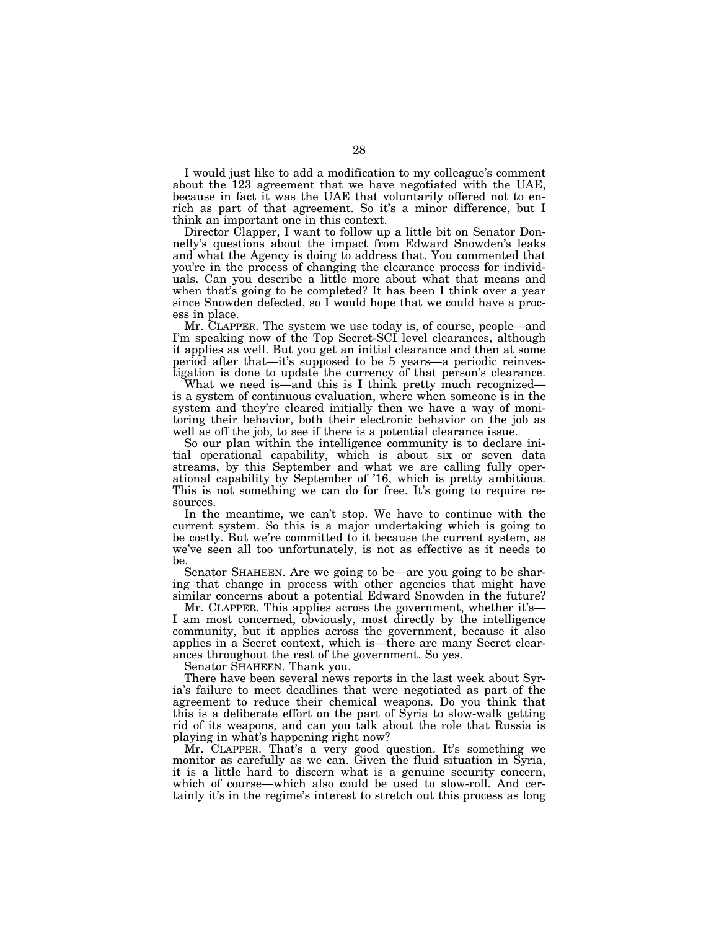I would just like to add a modification to my colleague's comment about the 123 agreement that we have negotiated with the UAE, because in fact it was the UAE that voluntarily offered not to enrich as part of that agreement. So it's a minor difference, but I think an important one in this context.

Director Clapper, I want to follow up a little bit on Senator Donnelly's questions about the impact from Edward Snowden's leaks and what the Agency is doing to address that. You commented that you're in the process of changing the clearance process for individuals. Can you describe a little more about what that means and when that's going to be completed? It has been I think over a year since Snowden defected, so I would hope that we could have a process in place.

Mr. CLAPPER. The system we use today is, of course, people—and I'm speaking now of the Top Secret-SCI level clearances, although it applies as well. But you get an initial clearance and then at some period after that—it's supposed to be 5 years—a periodic reinvestigation is done to update the currency of that person's clearance.

What we need is—and this is I think pretty much recognized is a system of continuous evaluation, where when someone is in the system and they're cleared initially then we have a way of monitoring their behavior, both their electronic behavior on the job as well as off the job, to see if there is a potential clearance issue.

So our plan within the intelligence community is to declare initial operational capability, which is about six or seven data streams, by this September and what we are calling fully operational capability by September of '16, which is pretty ambitious. This is not something we can do for free. It's going to require resources.

In the meantime, we can't stop. We have to continue with the current system. So this is a major undertaking which is going to be costly. But we're committed to it because the current system, as we've seen all too unfortunately, is not as effective as it needs to be.

Senator SHAHEEN. Are we going to be—are you going to be sharing that change in process with other agencies that might have similar concerns about a potential Edward Snowden in the future?

Mr. CLAPPER. This applies across the government, whether it's— I am most concerned, obviously, most directly by the intelligence community, but it applies across the government, because it also applies in a Secret context, which is—there are many Secret clearances throughout the rest of the government. So yes.

Senator SHAHEEN. Thank you.

There have been several news reports in the last week about Syria's failure to meet deadlines that were negotiated as part of the agreement to reduce their chemical weapons. Do you think that this is a deliberate effort on the part of Syria to slow-walk getting rid of its weapons, and can you talk about the role that Russia is playing in what's happening right now?

Mr. CLAPPER. That's a very good question. It's something we monitor as carefully as we can. Given the fluid situation in Syria, it is a little hard to discern what is a genuine security concern, which of course—which also could be used to slow-roll. And certainly it's in the regime's interest to stretch out this process as long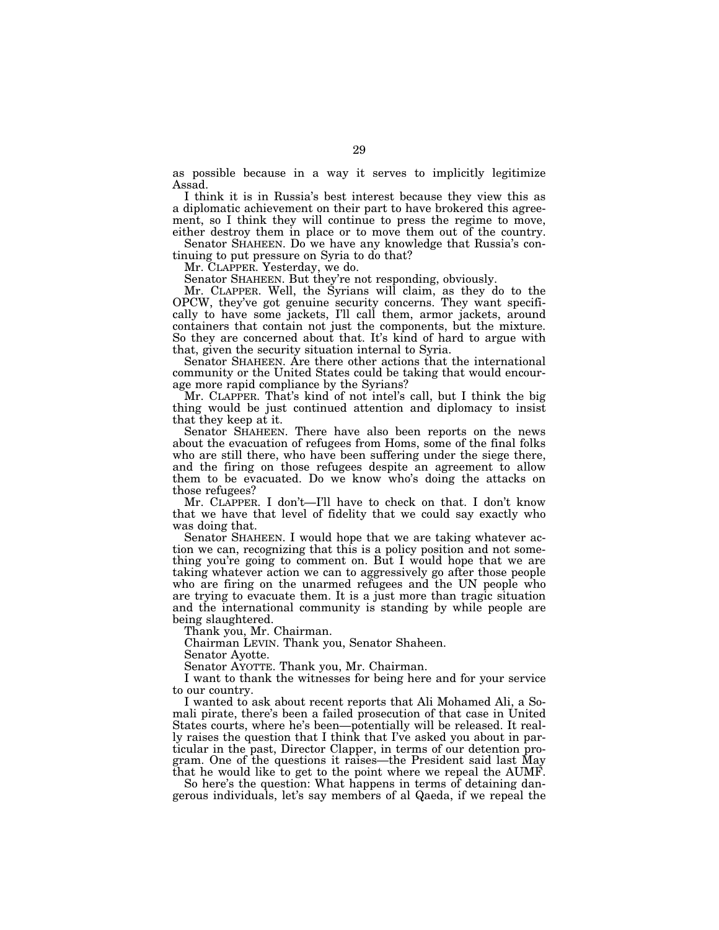as possible because in a way it serves to implicitly legitimize Assad.

I think it is in Russia's best interest because they view this as a diplomatic achievement on their part to have brokered this agreement, so I think they will continue to press the regime to move, either destroy them in place or to move them out of the country.

Senator SHAHEEN. Do we have any knowledge that Russia's continuing to put pressure on Syria to do that?

Mr. CLAPPER. Yesterday, we do.

Senator SHAHEEN. But they're not responding, obviously.

Mr. CLAPPER. Well, the Syrians will claim, as they do to the OPCW, they've got genuine security concerns. They want specifically to have some jackets, I'll call them, armor jackets, around containers that contain not just the components, but the mixture. So they are concerned about that. It's kind of hard to argue with that, given the security situation internal to Syria.

Senator SHAHEEN. Are there other actions that the international community or the United States could be taking that would encourage more rapid compliance by the Syrians?

Mr. CLAPPER. That's kind of not intel's call, but I think the big thing would be just continued attention and diplomacy to insist that they keep at it.

Senator SHAHEEN. There have also been reports on the news about the evacuation of refugees from Homs, some of the final folks who are still there, who have been suffering under the siege there, and the firing on those refugees despite an agreement to allow them to be evacuated. Do we know who's doing the attacks on those refugees?

Mr. CLAPPER. I don't—I'll have to check on that. I don't know that we have that level of fidelity that we could say exactly who was doing that.

Senator SHAHEEN. I would hope that we are taking whatever action we can, recognizing that this is a policy position and not something you're going to comment on. But I would hope that we are taking whatever action we can to aggressively go after those people who are firing on the unarmed refugees and the UN people who are trying to evacuate them. It is a just more than tragic situation and the international community is standing by while people are being slaughtered.

Thank you, Mr. Chairman.

Chairman LEVIN. Thank you, Senator Shaheen.

Senator Ayotte.

Senator AYOTTE. Thank you, Mr. Chairman.

I want to thank the witnesses for being here and for your service to our country.

I wanted to ask about recent reports that Ali Mohamed Ali, a Somali pirate, there's been a failed prosecution of that case in United States courts, where he's been—potentially will be released. It really raises the question that I think that I've asked you about in particular in the past, Director Clapper, in terms of our detention program. One of the questions it raises—the President said last May that he would like to get to the point where we repeal the AUMF.

So here's the question: What happens in terms of detaining dangerous individuals, let's say members of al Qaeda, if we repeal the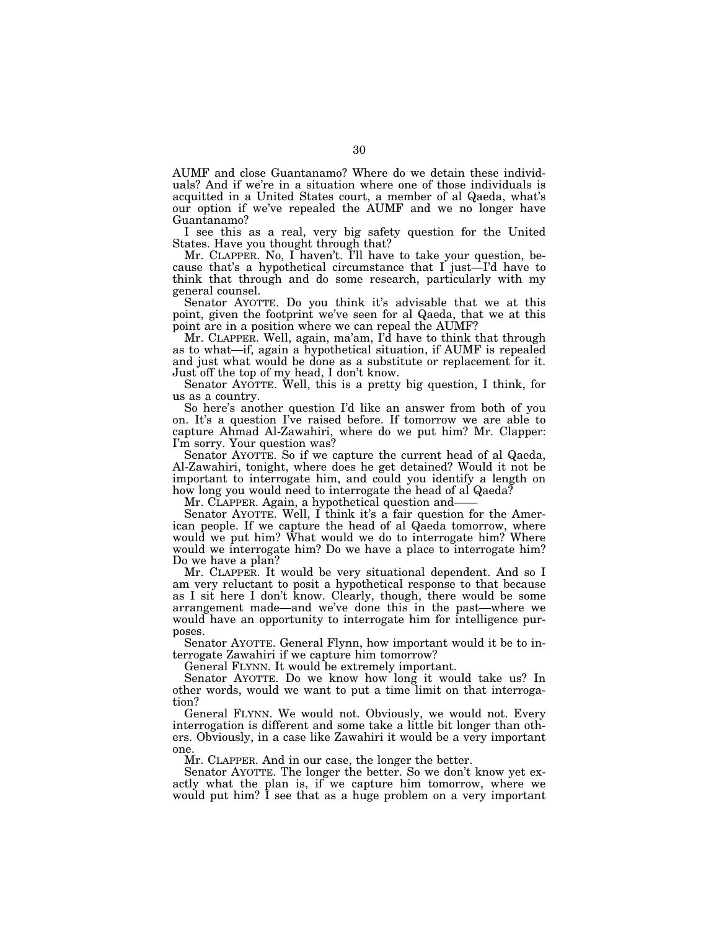AUMF and close Guantanamo? Where do we detain these individuals? And if we're in a situation where one of those individuals is acquitted in a United States court, a member of al Qaeda, what's our option if we've repealed the AUMF and we no longer have Guantanamo?

I see this as a real, very big safety question for the United States. Have you thought through that?

Mr. CLAPPER. No, I haven't. I'll have to take your question, because that's a hypothetical circumstance that I just—I'd have to think that through and do some research, particularly with my general counsel.

Senator AYOTTE. Do you think it's advisable that we at this point, given the footprint we've seen for al Qaeda, that we at this point are in a position where we can repeal the AUMF?

Mr. CLAPPER. Well, again, ma'am, I'd have to think that through as to what—if, again a hypothetical situation, if AUMF is repealed and just what would be done as a substitute or replacement for it. Just off the top of my head, I don't know.

Senator AYOTTE. Well, this is a pretty big question, I think, for us as a country.

So here's another question I'd like an answer from both of you on. It's a question I've raised before. If tomorrow we are able to capture Ahmad Al-Zawahiri, where do we put him? Mr. Clapper: I'm sorry. Your question was?

Senator AYOTTE. So if we capture the current head of al Qaeda, Al-Zawahiri, tonight, where does he get detained? Would it not be important to interrogate him, and could you identify a length on how long you would need to interrogate the head of al Qaeda?

Mr. CLAPPER. Again, a hypothetical question and-

Senator AYOTTE. Well, I think it's a fair question for the American people. If we capture the head of al Qaeda tomorrow, where would we put him? What would we do to interrogate him? Where would we interrogate him? Do we have a place to interrogate him? Do we have a plan?

Mr. CLAPPER. It would be very situational dependent. And so I am very reluctant to posit a hypothetical response to that because as I sit here I don't know. Clearly, though, there would be some arrangement made—and we've done this in the past—where we would have an opportunity to interrogate him for intelligence purposes.

Senator AYOTTE. General Flynn, how important would it be to interrogate Zawahiri if we capture him tomorrow?

General FLYNN. It would be extremely important.

Senator AYOTTE. Do we know how long it would take us? In other words, would we want to put a time limit on that interrogation?

General FLYNN. We would not. Obviously, we would not. Every interrogation is different and some take a little bit longer than others. Obviously, in a case like Zawahiri it would be a very important one.

Mr. CLAPPER. And in our case, the longer the better.

Senator AYOTTE. The longer the better. So we don't know yet exactly what the plan is, if we capture him tomorrow, where we would put him? I see that as a huge problem on a very important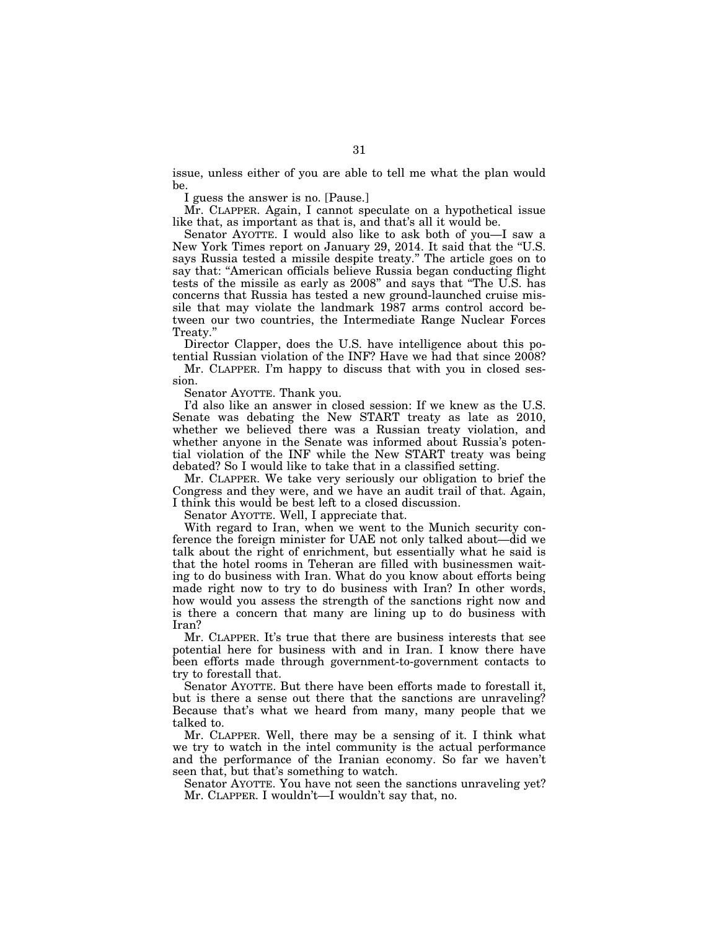issue, unless either of you are able to tell me what the plan would be.

I guess the answer is no. [Pause.]

Mr. CLAPPER. Again, I cannot speculate on a hypothetical issue like that, as important as that is, and that's all it would be.

Senator AYOTTE. I would also like to ask both of you—I saw a New York Times report on January 29, 2014. It said that the ''U.S. says Russia tested a missile despite treaty." The article goes on to say that: "American officials believe Russia began conducting flight tests of the missile as early as 2008'' and says that ''The U.S. has concerns that Russia has tested a new ground-launched cruise missile that may violate the landmark 1987 arms control accord between our two countries, the Intermediate Range Nuclear Forces Treaty.''

Director Clapper, does the U.S. have intelligence about this potential Russian violation of the INF? Have we had that since 2008?

Mr. CLAPPER. I'm happy to discuss that with you in closed session.

Senator AYOTTE. Thank you.

I'd also like an answer in closed session: If we knew as the U.S. Senate was debating the New START treaty as late as 2010, whether we believed there was a Russian treaty violation, and whether anyone in the Senate was informed about Russia's potential violation of the INF while the New START treaty was being debated? So I would like to take that in a classified setting.

Mr. CLAPPER. We take very seriously our obligation to brief the Congress and they were, and we have an audit trail of that. Again, I think this would be best left to a closed discussion.

Senator AYOTTE. Well, I appreciate that.

With regard to Iran, when we went to the Munich security conference the foreign minister for UAE not only talked about—did we talk about the right of enrichment, but essentially what he said is that the hotel rooms in Teheran are filled with businessmen waiting to do business with Iran. What do you know about efforts being made right now to try to do business with Iran? In other words, how would you assess the strength of the sanctions right now and is there a concern that many are lining up to do business with Iran?

Mr. CLAPPER. It's true that there are business interests that see potential here for business with and in Iran. I know there have been efforts made through government-to-government contacts to try to forestall that.

Senator AYOTTE. But there have been efforts made to forestall it, but is there a sense out there that the sanctions are unraveling? Because that's what we heard from many, many people that we talked to.

Mr. CLAPPER. Well, there may be a sensing of it. I think what we try to watch in the intel community is the actual performance and the performance of the Iranian economy. So far we haven't seen that, but that's something to watch.

Senator AYOTTE. You have not seen the sanctions unraveling yet? Mr. CLAPPER. I wouldn't—I wouldn't say that, no.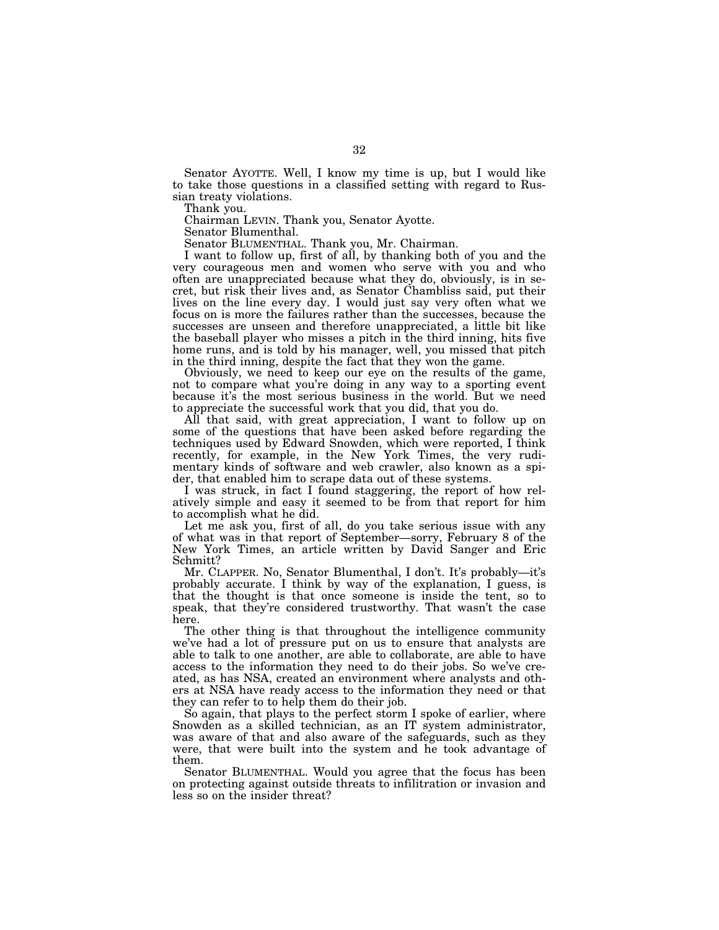Senator AYOTTE. Well, I know my time is up, but I would like to take those questions in a classified setting with regard to Russian treaty violations.

Thank you.

Chairman LEVIN. Thank you, Senator Ayotte.

Senator Blumenthal.

Senator BLUMENTHAL. Thank you, Mr. Chairman.

I want to follow up, first of all, by thanking both of you and the very courageous men and women who serve with you and who often are unappreciated because what they do, obviously, is in secret, but risk their lives and, as Senator Chambliss said, put their lives on the line every day. I would just say very often what we focus on is more the failures rather than the successes, because the successes are unseen and therefore unappreciated, a little bit like the baseball player who misses a pitch in the third inning, hits five home runs, and is told by his manager, well, you missed that pitch in the third inning, despite the fact that they won the game.

Obviously, we need to keep our eye on the results of the game, not to compare what you're doing in any way to a sporting event because it's the most serious business in the world. But we need to appreciate the successful work that you did, that you do.

All that said, with great appreciation, I want to follow up on some of the questions that have been asked before regarding the techniques used by Edward Snowden, which were reported, I think recently, for example, in the New York Times, the very rudimentary kinds of software and web crawler, also known as a spider, that enabled him to scrape data out of these systems.

I was struck, in fact I found staggering, the report of how relatively simple and easy it seemed to be from that report for him to accomplish what he did.

Let me ask you, first of all, do you take serious issue with any of what was in that report of September—sorry, February 8 of the New York Times, an article written by David Sanger and Eric Schmitt?

Mr. CLAPPER. No, Senator Blumenthal, I don't. It's probably—it's probably accurate. I think by way of the explanation, I guess, is that the thought is that once someone is inside the tent, so to speak, that they're considered trustworthy. That wasn't the case here.

The other thing is that throughout the intelligence community we've had a lot of pressure put on us to ensure that analysts are able to talk to one another, are able to collaborate, are able to have access to the information they need to do their jobs. So we've created, as has NSA, created an environment where analysts and others at NSA have ready access to the information they need or that they can refer to to help them do their job.

So again, that plays to the perfect storm I spoke of earlier, where Snowden as a skilled technician, as an IT system administrator, was aware of that and also aware of the safeguards, such as they were, that were built into the system and he took advantage of them.

Senator BLUMENTHAL. Would you agree that the focus has been on protecting against outside threats to infilitration or invasion and less so on the insider threat?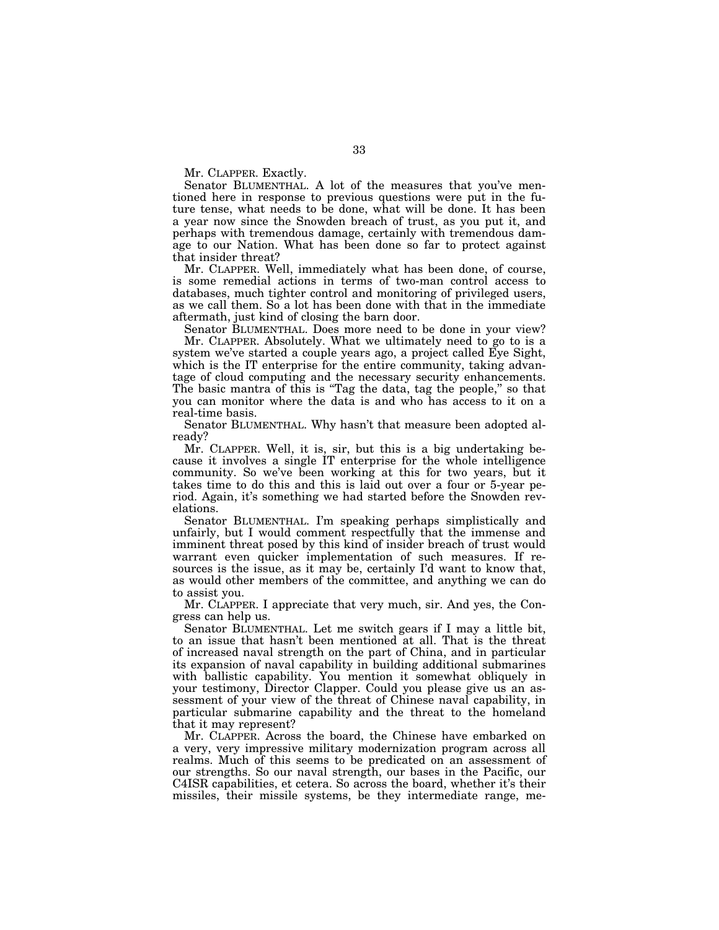Mr. CLAPPER. Exactly.

Senator BLUMENTHAL. A lot of the measures that you've mentioned here in response to previous questions were put in the future tense, what needs to be done, what will be done. It has been a year now since the Snowden breach of trust, as you put it, and perhaps with tremendous damage, certainly with tremendous damage to our Nation. What has been done so far to protect against that insider threat?

Mr. CLAPPER. Well, immediately what has been done, of course, is some remedial actions in terms of two-man control access to databases, much tighter control and monitoring of privileged users, as we call them. So a lot has been done with that in the immediate aftermath, just kind of closing the barn door.

Senator BLUMENTHAL. Does more need to be done in your view? Mr. CLAPPER. Absolutely. What we ultimately need to go to is a system we've started a couple years ago, a project called Eye Sight, which is the IT enterprise for the entire community, taking advantage of cloud computing and the necessary security enhancements. The basic mantra of this is "Tag the data, tag the people," so that you can monitor where the data is and who has access to it on a real-time basis.

Senator BLUMENTHAL. Why hasn't that measure been adopted already?

Mr. CLAPPER. Well, it is, sir, but this is a big undertaking because it involves a single IT enterprise for the whole intelligence community. So we've been working at this for two years, but it takes time to do this and this is laid out over a four or 5-year period. Again, it's something we had started before the Snowden revelations.

Senator BLUMENTHAL. I'm speaking perhaps simplistically and unfairly, but I would comment respectfully that the immense and imminent threat posed by this kind of insider breach of trust would warrant even quicker implementation of such measures. If resources is the issue, as it may be, certainly I'd want to know that, as would other members of the committee, and anything we can do to assist you.

Mr. CLAPPER. I appreciate that very much, sir. And yes, the Congress can help us.

Senator BLUMENTHAL. Let me switch gears if I may a little bit, to an issue that hasn't been mentioned at all. That is the threat of increased naval strength on the part of China, and in particular its expansion of naval capability in building additional submarines with ballistic capability. You mention it somewhat obliquely in your testimony, Director Clapper. Could you please give us an assessment of your view of the threat of Chinese naval capability, in particular submarine capability and the threat to the homeland that it may represent?

Mr. CLAPPER. Across the board, the Chinese have embarked on a very, very impressive military modernization program across all realms. Much of this seems to be predicated on an assessment of our strengths. So our naval strength, our bases in the Pacific, our C4ISR capabilities, et cetera. So across the board, whether it's their missiles, their missile systems, be they intermediate range, me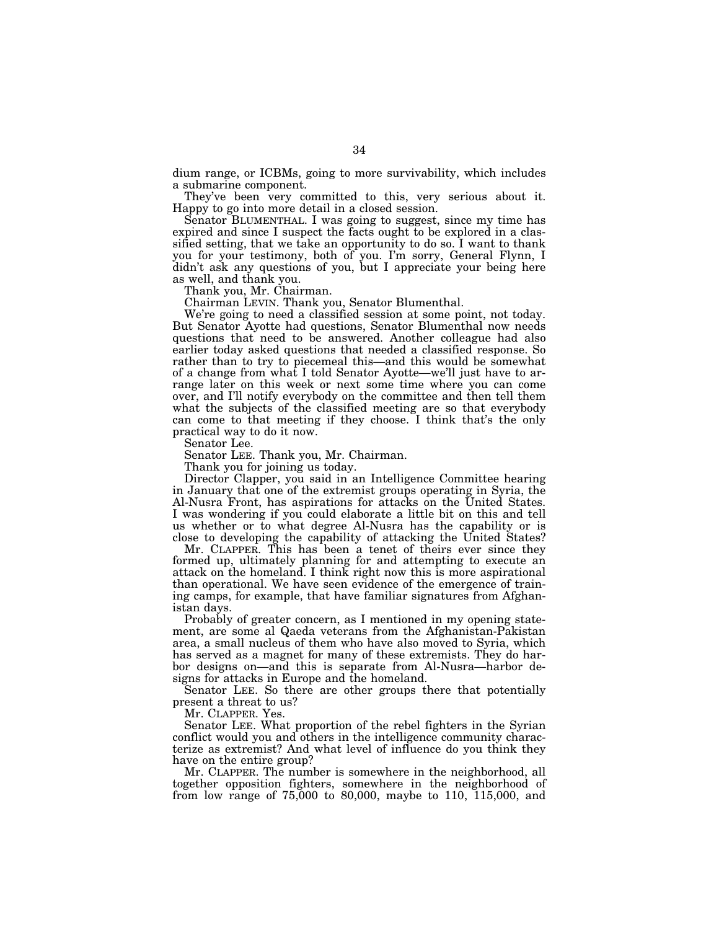dium range, or ICBMs, going to more survivability, which includes a submarine component.

They've been very committed to this, very serious about it. Happy to go into more detail in a closed session.

Senator BLUMENTHAL. I was going to suggest, since my time has expired and since I suspect the facts ought to be explored in a classified setting, that we take an opportunity to do so. I want to thank you for your testimony, both of you. I'm sorry, General Flynn, I didn't ask any questions of you, but I appreciate your being here as well, and thank you.

Thank you, Mr. Chairman.

Chairman LEVIN. Thank you, Senator Blumenthal.

We're going to need a classified session at some point, not today. But Senator Ayotte had questions, Senator Blumenthal now needs questions that need to be answered. Another colleague had also earlier today asked questions that needed a classified response. So rather than to try to piecemeal this—and this would be somewhat of a change from what I told Senator Ayotte—we'll just have to arrange later on this week or next some time where you can come over, and I'll notify everybody on the committee and then tell them what the subjects of the classified meeting are so that everybody can come to that meeting if they choose. I think that's the only practical way to do it now.

Senator Lee.

Senator LEE. Thank you, Mr. Chairman.

Thank you for joining us today.

Director Clapper, you said in an Intelligence Committee hearing in January that one of the extremist groups operating in Syria, the Al-Nusra Front, has aspirations for attacks on the United States. I was wondering if you could elaborate a little bit on this and tell us whether or to what degree Al-Nusra has the capability or is close to developing the capability of attacking the United States?

Mr. CLAPPER. This has been a tenet of theirs ever since they formed up, ultimately planning for and attempting to execute an attack on the homeland. I think right now this is more aspirational than operational. We have seen evidence of the emergence of training camps, for example, that have familiar signatures from Afghanistan days.

Probably of greater concern, as I mentioned in my opening statement, are some al Qaeda veterans from the Afghanistan-Pakistan area, a small nucleus of them who have also moved to Syria, which has served as a magnet for many of these extremists. They do harbor designs on—and this is separate from Al-Nusra—harbor designs for attacks in Europe and the homeland.

Senator LEE. So there are other groups there that potentially present a threat to us?

Mr. CLAPPER. Yes.

Senator LEE. What proportion of the rebel fighters in the Syrian conflict would you and others in the intelligence community characterize as extremist? And what level of influence do you think they have on the entire group?

Mr. CLAPPER. The number is somewhere in the neighborhood, all together opposition fighters, somewhere in the neighborhood of from low range of 75,000 to 80,000, maybe to 110, 115,000, and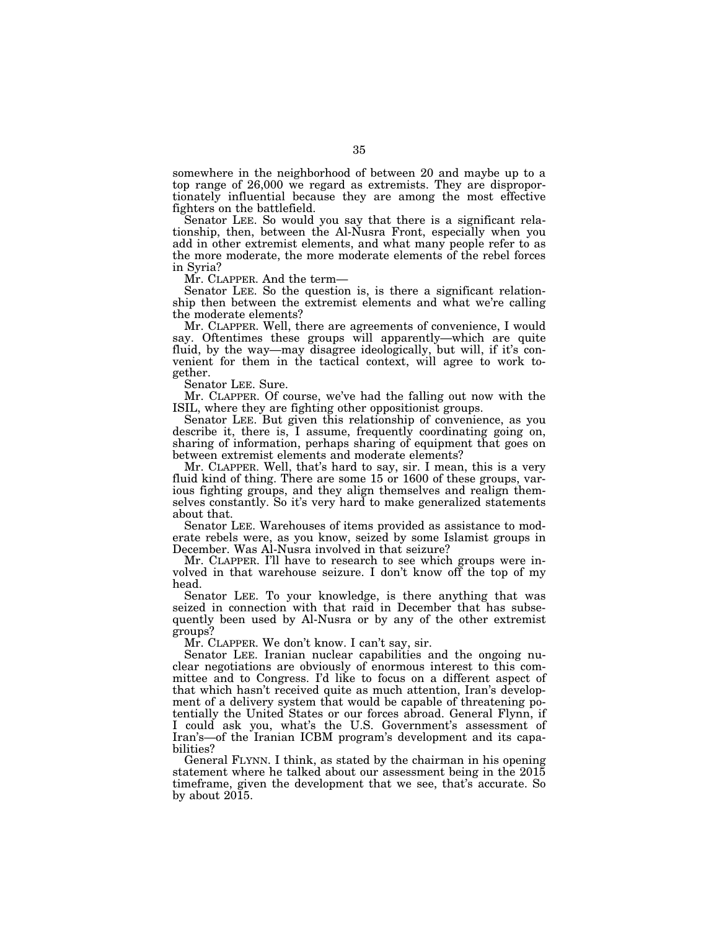somewhere in the neighborhood of between 20 and maybe up to a top range of 26,000 we regard as extremists. They are disproportionately influential because they are among the most effective fighters on the battlefield.

Senator LEE. So would you say that there is a significant relationship, then, between the Al-Nusra Front, especially when you add in other extremist elements, and what many people refer to as the more moderate, the more moderate elements of the rebel forces in Syria?

Mr. CLAPPER. And the term—

Senator LEE. So the question is, is there a significant relationship then between the extremist elements and what we're calling the moderate elements?

Mr. CLAPPER. Well, there are agreements of convenience, I would say. Oftentimes these groups will apparently—which are quite fluid, by the way—may disagree ideologically, but will, if it's convenient for them in the tactical context, will agree to work together.

Senator LEE. Sure.

Mr. CLAPPER. Of course, we've had the falling out now with the ISIL, where they are fighting other oppositionist groups.

Senator LEE. But given this relationship of convenience, as you describe it, there is, I assume, frequently coordinating going on, sharing of information, perhaps sharing of equipment that goes on between extremist elements and moderate elements?

Mr. CLAPPER. Well, that's hard to say, sir. I mean, this is a very fluid kind of thing. There are some 15 or 1600 of these groups, various fighting groups, and they align themselves and realign themselves constantly. So it's very hard to make generalized statements about that.

Senator LEE. Warehouses of items provided as assistance to moderate rebels were, as you know, seized by some Islamist groups in December. Was Al-Nusra involved in that seizure?

Mr. CLAPPER. I'll have to research to see which groups were involved in that warehouse seizure. I don't know off the top of my head.

Senator LEE. To your knowledge, is there anything that was seized in connection with that raid in December that has subsequently been used by Al-Nusra or by any of the other extremist groups?

Mr. CLAPPER. We don't know. I can't say, sir.

Senator LEE. Iranian nuclear capabilities and the ongoing nuclear negotiations are obviously of enormous interest to this committee and to Congress. I'd like to focus on a different aspect of that which hasn't received quite as much attention, Iran's development of a delivery system that would be capable of threatening potentially the United States or our forces abroad. General Flynn, if I could ask you, what's the U.S. Government's assessment of Iran's—of the Iranian ICBM program's development and its capabilities?

General FLYNN. I think, as stated by the chairman in his opening statement where he talked about our assessment being in the 2015 timeframe, given the development that we see, that's accurate. So by about 2015.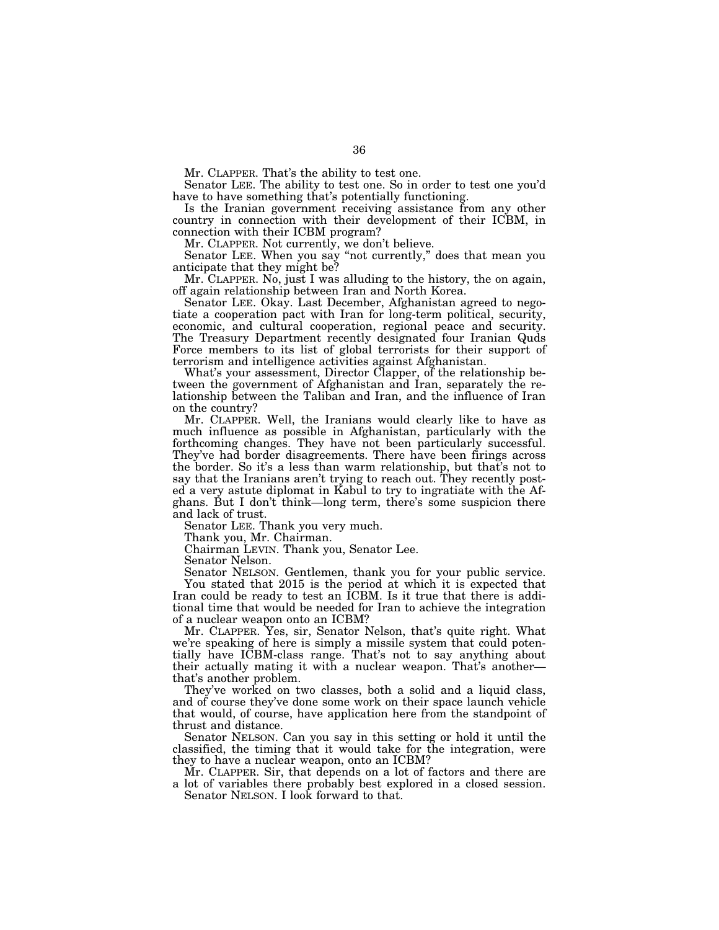Mr. CLAPPER. That's the ability to test one.

Senator LEE. The ability to test one. So in order to test one you'd have to have something that's potentially functioning.

Is the Iranian government receiving assistance from any other country in connection with their development of their ICBM, in connection with their ICBM program?

Mr. CLAPPER. Not currently, we don't believe.

Senator LEE. When you say "not currently," does that mean you anticipate that they might be?

Mr. CLAPPER. No, just I was alluding to the history, the on again, off again relationship between Iran and North Korea.

Senator LEE. Okay. Last December, Afghanistan agreed to negotiate a cooperation pact with Iran for long-term political, security, economic, and cultural cooperation, regional peace and security. The Treasury Department recently designated four Iranian Quds Force members to its list of global terrorists for their support of terrorism and intelligence activities against Afghanistan.

What's your assessment, Director Clapper, of the relationship between the government of Afghanistan and Iran, separately the relationship between the Taliban and Iran, and the influence of Iran on the country?

Mr. CLAPPER. Well, the Iranians would clearly like to have as much influence as possible in Afghanistan, particularly with the forthcoming changes. They have not been particularly successful. They've had border disagreements. There have been firings across the border. So it's a less than warm relationship, but that's not to say that the Iranians aren't trying to reach out. They recently posted a very astute diplomat in Kabul to try to ingratiate with the Afghans. But I don't think—long term, there's some suspicion there and lack of trust.

Senator LEE. Thank you very much.

Thank you, Mr. Chairman.

Chairman LEVIN. Thank you, Senator Lee.

Senator Nelson.

Senator NELSON. Gentlemen, thank you for your public service. You stated that 2015 is the period at which it is expected that Iran could be ready to test an ICBM. Is it true that there is additional time that would be needed for Iran to achieve the integration of a nuclear weapon onto an ICBM?

Mr. CLAPPER. Yes, sir, Senator Nelson, that's quite right. What we're speaking of here is simply a missile system that could potentially have ICBM-class range. That's not to say anything about their actually mating it with a nuclear weapon. That's another that's another problem.

They've worked on two classes, both a solid and a liquid class, and of course they've done some work on their space launch vehicle that would, of course, have application here from the standpoint of thrust and distance.

Senator NELSON. Can you say in this setting or hold it until the classified, the timing that it would take for the integration, were they to have a nuclear weapon, onto an ICBM?

Mr. CLAPPER. Sir, that depends on a lot of factors and there are a lot of variables there probably best explored in a closed session. Senator NELSON. I look forward to that.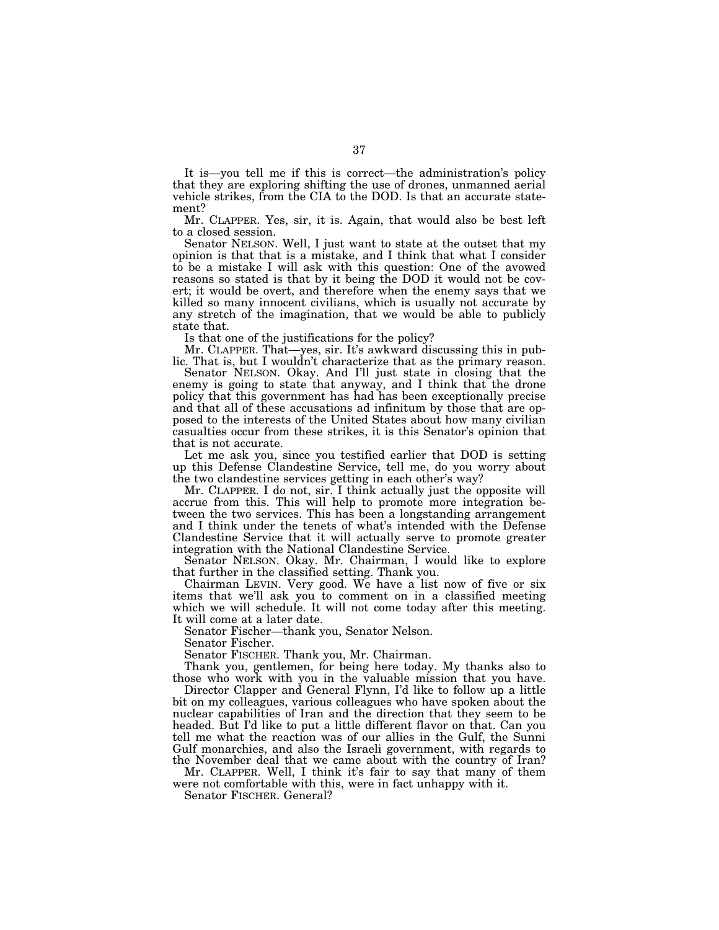It is—you tell me if this is correct—the administration's policy that they are exploring shifting the use of drones, unmanned aerial vehicle strikes, from the CIA to the DOD. Is that an accurate statement?

Mr. CLAPPER. Yes, sir, it is. Again, that would also be best left to a closed session.

Senator NELSON. Well, I just want to state at the outset that my opinion is that that is a mistake, and I think that what I consider to be a mistake I will ask with this question: One of the avowed reasons so stated is that by it being the DOD it would not be covert; it would be overt, and therefore when the enemy says that we killed so many innocent civilians, which is usually not accurate by any stretch of the imagination, that we would be able to publicly state that.

Is that one of the justifications for the policy?

Mr. CLAPPER. That—yes, sir. It's awkward discussing this in public. That is, but I wouldn't characterize that as the primary reason.

Senator NELSON. Okay. And I'll just state in closing that the enemy is going to state that anyway, and I think that the drone policy that this government has had has been exceptionally precise and that all of these accusations ad infinitum by those that are opposed to the interests of the United States about how many civilian casualties occur from these strikes, it is this Senator's opinion that that is not accurate.

Let me ask you, since you testified earlier that DOD is setting up this Defense Clandestine Service, tell me, do you worry about the two clandestine services getting in each other's way?

Mr. CLAPPER. I do not, sir. I think actually just the opposite will accrue from this. This will help to promote more integration between the two services. This has been a longstanding arrangement and I think under the tenets of what's intended with the Defense Clandestine Service that it will actually serve to promote greater integration with the National Clandestine Service.

Senator NELSON. Okay. Mr. Chairman, I would like to explore that further in the classified setting. Thank you.

Chairman LEVIN. Very good. We have a list now of five or six items that we'll ask you to comment on in a classified meeting which we will schedule. It will not come today after this meeting. It will come at a later date.

Senator Fischer—thank you, Senator Nelson.

Senator Fischer.

Senator FISCHER. Thank you, Mr. Chairman.

Thank you, gentlemen, for being here today. My thanks also to those who work with you in the valuable mission that you have.

Director Clapper and General Flynn, I'd like to follow up a little bit on my colleagues, various colleagues who have spoken about the nuclear capabilities of Iran and the direction that they seem to be headed. But I'd like to put a little different flavor on that. Can you tell me what the reaction was of our allies in the Gulf, the Sunni Gulf monarchies, and also the Israeli government, with regards to the November deal that we came about with the country of Iran?

Mr. CLAPPER. Well, I think it's fair to say that many of them were not comfortable with this, were in fact unhappy with it.

Senator FISCHER. General?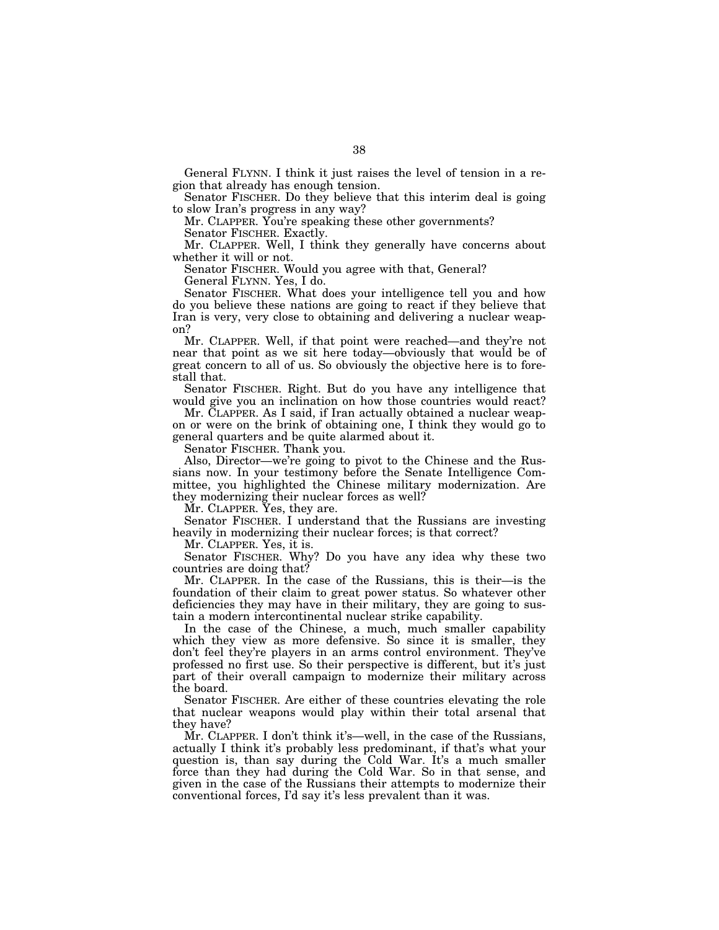General FLYNN. I think it just raises the level of tension in a region that already has enough tension.

Senator FISCHER. Do they believe that this interim deal is going to slow Iran's progress in any way?

Mr. CLAPPER. You're speaking these other governments?

Senator FISCHER. Exactly.

Mr. CLAPPER. Well, I think they generally have concerns about whether it will or not.

Senator FISCHER. Would you agree with that, General?

General FLYNN. Yes, I do.

Senator FISCHER. What does your intelligence tell you and how do you believe these nations are going to react if they believe that Iran is very, very close to obtaining and delivering a nuclear weapon?

Mr. CLAPPER. Well, if that point were reached—and they're not near that point as we sit here today—obviously that would be of great concern to all of us. So obviously the objective here is to forestall that.

Senator FISCHER. Right. But do you have any intelligence that would give you an inclination on how those countries would react?

Mr. CLAPPER. As I said, if Iran actually obtained a nuclear weapon or were on the brink of obtaining one, I think they would go to general quarters and be quite alarmed about it.

Senator FISCHER. Thank you.

Also, Director—we're going to pivot to the Chinese and the Russians now. In your testimony before the Senate Intelligence Committee, you highlighted the Chinese military modernization. Are they modernizing their nuclear forces as well?

Mr. CLAPPER. Yes, they are.

Senator FISCHER. I understand that the Russians are investing heavily in modernizing their nuclear forces; is that correct?

Mr. CLAPPER. Yes, it is.

Senator FISCHER. Why? Do you have any idea why these two countries are doing that?

Mr. CLAPPER. In the case of the Russians, this is their—is the foundation of their claim to great power status. So whatever other deficiencies they may have in their military, they are going to sustain a modern intercontinental nuclear strike capability.

In the case of the Chinese, a much, much smaller capability which they view as more defensive. So since it is smaller, they don't feel they're players in an arms control environment. They've professed no first use. So their perspective is different, but it's just part of their overall campaign to modernize their military across the board.

Senator FISCHER. Are either of these countries elevating the role that nuclear weapons would play within their total arsenal that they have?

Mr. CLAPPER. I don't think it's—well, in the case of the Russians, actually I think it's probably less predominant, if that's what your question is, than say during the Cold War. It's a much smaller force than they had during the Cold War. So in that sense, and given in the case of the Russians their attempts to modernize their conventional forces, I'd say it's less prevalent than it was.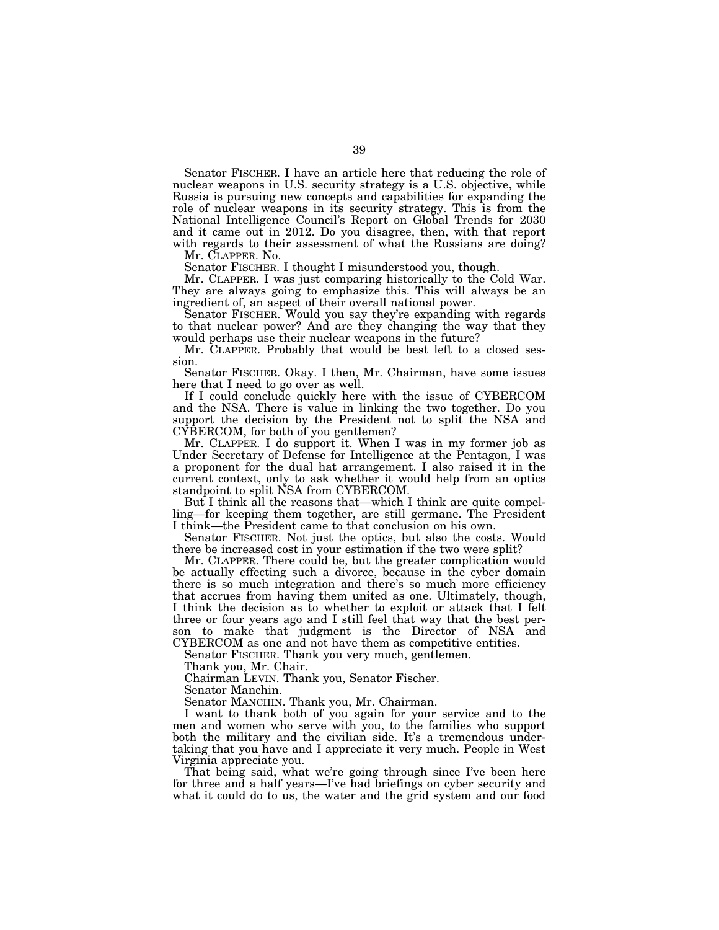Senator FISCHER. I have an article here that reducing the role of nuclear weapons in U.S. security strategy is a U.S. objective, while Russia is pursuing new concepts and capabilities for expanding the role of nuclear weapons in its security strategy. This is from the National Intelligence Council's Report on Global Trends for 2030 and it came out in 2012. Do you disagree, then, with that report with regards to their assessment of what the Russians are doing?

Mr. CLAPPER. No.

Senator FISCHER. I thought I misunderstood you, though.

Mr. CLAPPER. I was just comparing historically to the Cold War. They are always going to emphasize this. This will always be an ingredient of, an aspect of their overall national power.

Senator FISCHER. Would you say they're expanding with regards to that nuclear power? And are they changing the way that they would perhaps use their nuclear weapons in the future?

Mr. CLAPPER. Probably that would be best left to a closed session.

Senator FISCHER. Okay. I then, Mr. Chairman, have some issues here that I need to go over as well.

If I could conclude quickly here with the issue of CYBERCOM and the NSA. There is value in linking the two together. Do you support the decision by the President not to split the NSA and CYBERCOM, for both of you gentlemen?

Mr. CLAPPER. I do support it. When I was in my former job as Under Secretary of Defense for Intelligence at the Pentagon, I was a proponent for the dual hat arrangement. I also raised it in the current context, only to ask whether it would help from an optics standpoint to split NSA from CYBERCOM.

But I think all the reasons that—which I think are quite compelling—for keeping them together, are still germane. The President I think—the President came to that conclusion on his own.

Senator FISCHER. Not just the optics, but also the costs. Would there be increased cost in your estimation if the two were split?

Mr. CLAPPER. There could be, but the greater complication would be actually effecting such a divorce, because in the cyber domain there is so much integration and there's so much more efficiency that accrues from having them united as one. Ultimately, though, I think the decision as to whether to exploit or attack that I felt three or four years ago and I still feel that way that the best person to make that judgment is the Director of NSA and CYBERCOM as one and not have them as competitive entities.

Senator FISCHER. Thank you very much, gentlemen.

Thank you, Mr. Chair.

Chairman LEVIN. Thank you, Senator Fischer.

Senator Manchin.

Senator MANCHIN. Thank you, Mr. Chairman.

I want to thank both of you again for your service and to the men and women who serve with you, to the families who support both the military and the civilian side. It's a tremendous undertaking that you have and I appreciate it very much. People in West Virginia appreciate you.

That being said, what we're going through since I've been here for three and a half years—I've had briefings on cyber security and what it could do to us, the water and the grid system and our food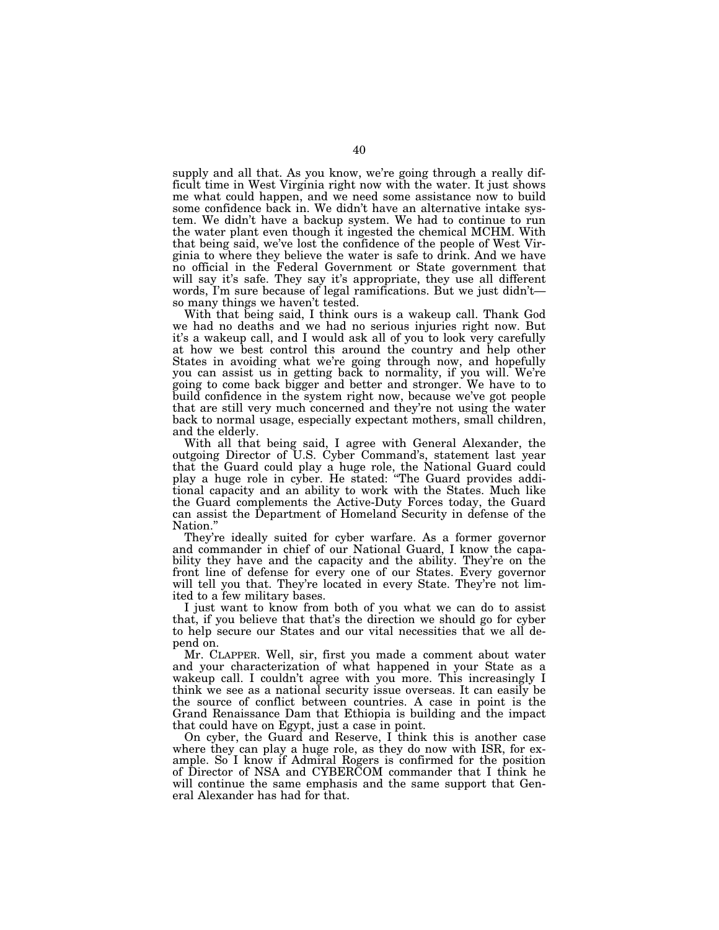supply and all that. As you know, we're going through a really difficult time in West Virginia right now with the water. It just shows me what could happen, and we need some assistance now to build some confidence back in. We didn't have an alternative intake system. We didn't have a backup system. We had to continue to run the water plant even though it ingested the chemical MCHM. With that being said, we've lost the confidence of the people of West Virginia to where they believe the water is safe to drink. And we have no official in the Federal Government or State government that will say it's safe. They say it's appropriate, they use all different words, I'm sure because of legal ramifications. But we just didn't so many things we haven't tested.

With that being said, I think ours is a wakeup call. Thank God we had no deaths and we had no serious injuries right now. But it's a wakeup call, and I would ask all of you to look very carefully at how we best control this around the country and help other States in avoiding what we're going through now, and hopefully you can assist us in getting back to normality, if you will. We're going to come back bigger and better and stronger. We have to to build confidence in the system right now, because we've got people that are still very much concerned and they're not using the water back to normal usage, especially expectant mothers, small children, and the elderly.

With all that being said, I agree with General Alexander, the outgoing Director of U.S. Cyber Command's, statement last year that the Guard could play a huge role, the National Guard could play a huge role in cyber. He stated: ''The Guard provides additional capacity and an ability to work with the States. Much like the Guard complements the Active-Duty Forces today, the Guard can assist the Department of Homeland Security in defense of the Nation.''

They're ideally suited for cyber warfare. As a former governor and commander in chief of our National Guard, I know the capability they have and the capacity and the ability. They're on the front line of defense for every one of our States. Every governor will tell you that. They're located in every State. They're not limited to a few military bases.

I just want to know from both of you what we can do to assist that, if you believe that that's the direction we should go for cyber to help secure our States and our vital necessities that we all depend on.

Mr. CLAPPER. Well, sir, first you made a comment about water and your characterization of what happened in your State as a wakeup call. I couldn't agree with you more. This increasingly I think we see as a national security issue overseas. It can easily be the source of conflict between countries. A case in point is the Grand Renaissance Dam that Ethiopia is building and the impact that could have on Egypt, just a case in point.

On cyber, the Guard and Reserve, I think this is another case where they can play a huge role, as they do now with ISR, for example. So I know if Admiral Rogers is confirmed for the position of Director of NSA and CYBERCOM commander that I think he will continue the same emphasis and the same support that General Alexander has had for that.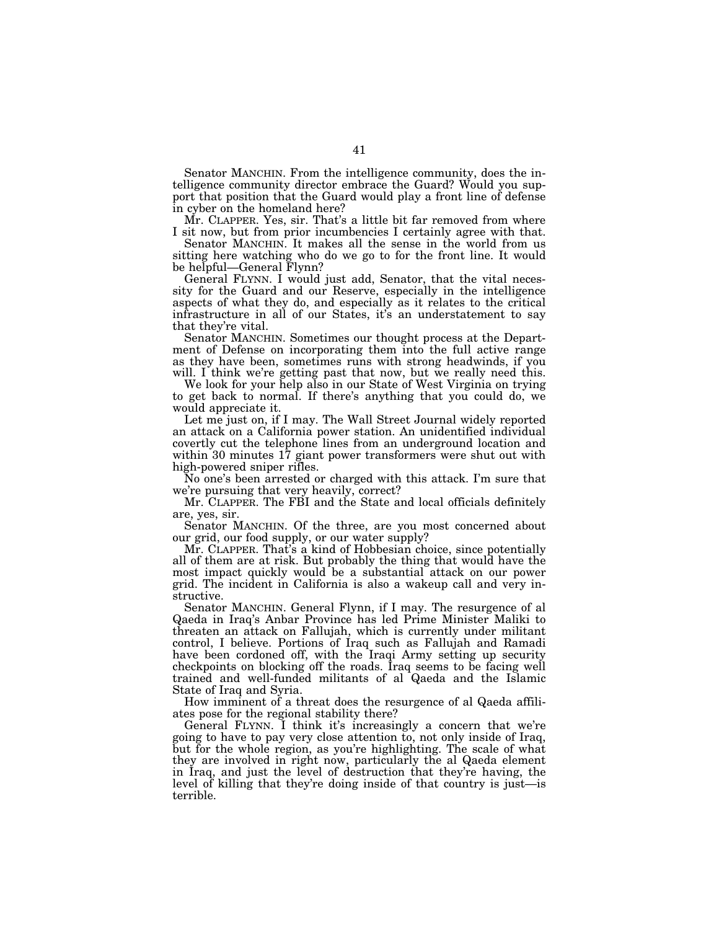Senator MANCHIN. From the intelligence community, does the intelligence community director embrace the Guard? Would you support that position that the Guard would play a front line of defense in cyber on the homeland here?

Mr. CLAPPER. Yes, sir. That's a little bit far removed from where I sit now, but from prior incumbencies I certainly agree with that.

Senator MANCHIN. It makes all the sense in the world from us sitting here watching who do we go to for the front line. It would be helpful—General Flynn?

General FLYNN. I would just add, Senator, that the vital necessity for the Guard and our Reserve, especially in the intelligence aspects of what they do, and especially as it relates to the critical infrastructure in all of our States, it's an understatement to say that they're vital.

Senator MANCHIN. Sometimes our thought process at the Department of Defense on incorporating them into the full active range as they have been, sometimes runs with strong headwinds, if you will. I think we're getting past that now, but we really need this.

We look for your help also in our State of West Virginia on trying to get back to normal. If there's anything that you could do, we would appreciate it.

Let me just on, if I may. The Wall Street Journal widely reported an attack on a California power station. An unidentified individual covertly cut the telephone lines from an underground location and within 30 minutes 17 giant power transformers were shut out with high-powered sniper rifles.

No one's been arrested or charged with this attack. I'm sure that we're pursuing that very heavily, correct?

Mr. CLAPPER. The FBI and the State and local officials definitely are, yes, sir.

Senator MANCHIN. Of the three, are you most concerned about our grid, our food supply, or our water supply?

Mr. CLAPPER. That's a kind of Hobbesian choice, since potentially all of them are at risk. But probably the thing that would have the most impact quickly would be a substantial attack on our power grid. The incident in California is also a wakeup call and very instructive.

Senator MANCHIN. General Flynn, if I may. The resurgence of al Qaeda in Iraq's Anbar Province has led Prime Minister Maliki to threaten an attack on Fallujah, which is currently under militant control, I believe. Portions of Iraq such as Fallujah and Ramadi have been cordoned off, with the Iraqi Army setting up security checkpoints on blocking off the roads. Iraq seems to be facing well trained and well-funded militants of al Qaeda and the Islamic State of Iraq and Syria.

How imminent of a threat does the resurgence of al Qaeda affiliates pose for the regional stability there?

General FLYNN. I think it's increasingly a concern that we're going to have to pay very close attention to, not only inside of Iraq, but for the whole region, as you're highlighting. The scale of what they are involved in right now, particularly the al Qaeda element in Iraq, and just the level of destruction that they're having, the level of killing that they're doing inside of that country is just—is terrible.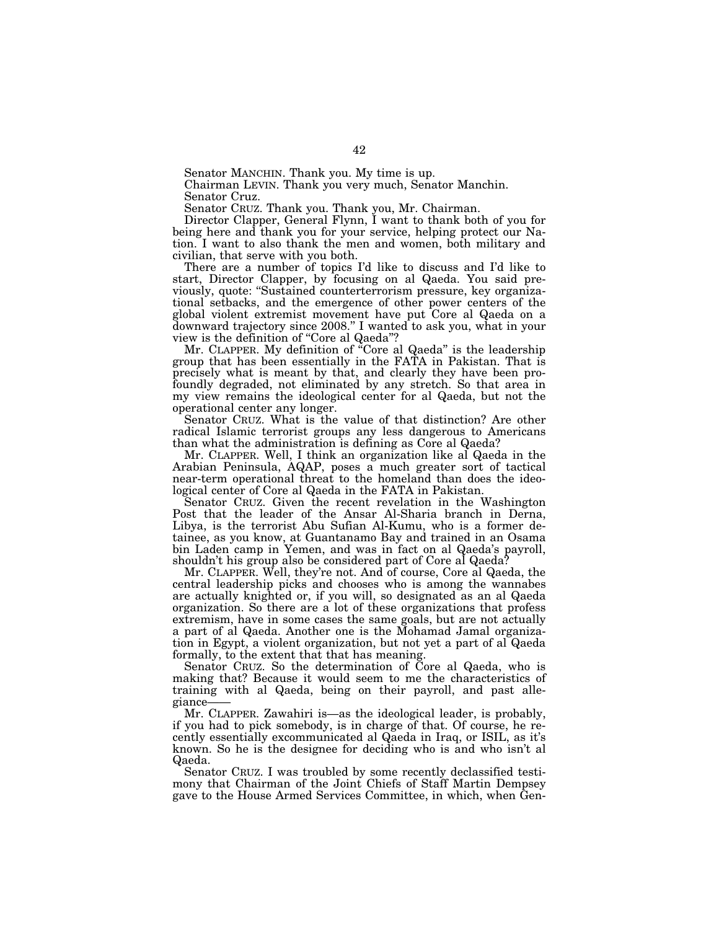Senator MANCHIN. Thank you. My time is up.

Chairman LEVIN. Thank you very much, Senator Manchin. Senator Cruz.

Senator CRUZ. Thank you. Thank you, Mr. Chairman.

Director Clapper, General Flynn, I want to thank both of you for being here and thank you for your service, helping protect our Nation. I want to also thank the men and women, both military and civilian, that serve with you both.

There are a number of topics I'd like to discuss and I'd like to start, Director Clapper, by focusing on al Qaeda. You said previously, quote: ''Sustained counterterrorism pressure, key organizational setbacks, and the emergence of other power centers of the global violent extremist movement have put Core al Qaeda on a downward trajectory since 2008.'' I wanted to ask you, what in your view is the definition of ''Core al Qaeda''?

Mr. CLAPPER. My definition of ''Core al Qaeda'' is the leadership group that has been essentially in the FATA in Pakistan. That is precisely what is meant by that, and clearly they have been profoundly degraded, not eliminated by any stretch. So that area in my view remains the ideological center for al Qaeda, but not the operational center any longer.

Senator CRUZ. What is the value of that distinction? Are other radical Islamic terrorist groups any less dangerous to Americans than what the administration is defining as Core al Qaeda?

Mr. CLAPPER. Well, I think an organization like al Qaeda in the Arabian Peninsula, AQAP, poses a much greater sort of tactical near-term operational threat to the homeland than does the ideological center of Core al Qaeda in the FATA in Pakistan.

Senator CRUZ. Given the recent revelation in the Washington Post that the leader of the Ansar Al-Sharia branch in Derna, Libya, is the terrorist Abu Sufian Al-Kumu, who is a former detainee, as you know, at Guantanamo Bay and trained in an Osama bin Laden camp in Yemen, and was in fact on al Qaeda's payroll, shouldn't his group also be considered part of Core al Qaeda?

Mr. CLAPPER. Well, they're not. And of course, Core al Qaeda, the central leadership picks and chooses who is among the wannabes are actually knighted or, if you will, so designated as an al Qaeda organization. So there are a lot of these organizations that profess extremism, have in some cases the same goals, but are not actually a part of al Qaeda. Another one is the Mohamad Jamal organization in Egypt, a violent organization, but not yet a part of al Qaeda formally, to the extent that that has meaning.

Senator CRUZ. So the determination of Core al Qaeda, who is making that? Because it would seem to me the characteristics of training with al Qaeda, being on their payroll, and past allegiance-

Mr. CLAPPER. Zawahiri is—as the ideological leader, is probably, if you had to pick somebody, is in charge of that. Of course, he recently essentially excommunicated al Qaeda in Iraq, or ISIL, as it's known. So he is the designee for deciding who is and who isn't al Qaeda.

Senator CRUZ. I was troubled by some recently declassified testimony that Chairman of the Joint Chiefs of Staff Martin Dempsey gave to the House Armed Services Committee, in which, when Gen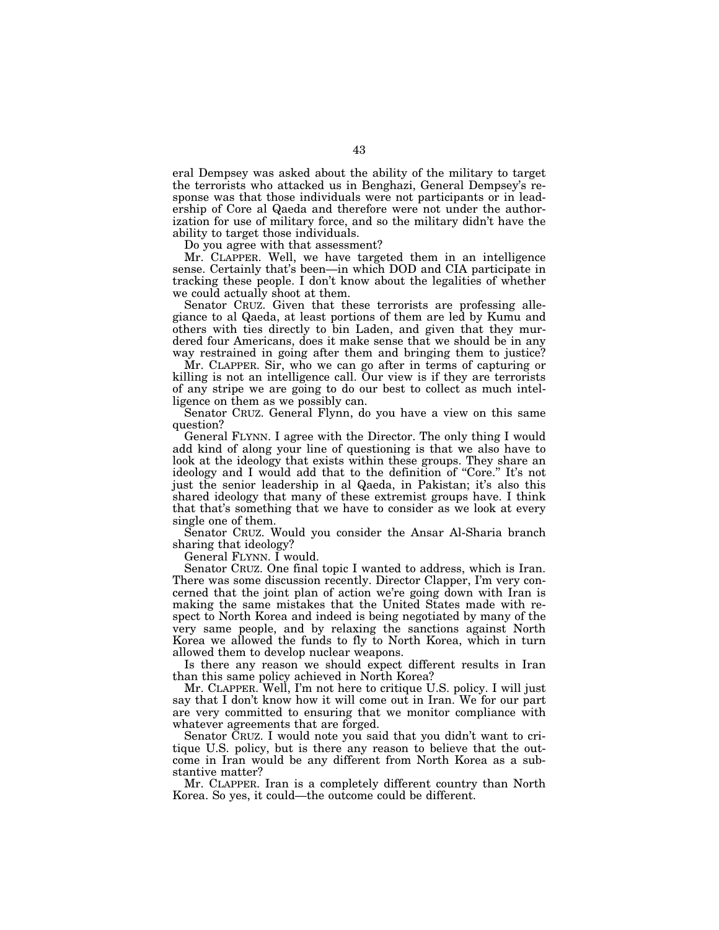eral Dempsey was asked about the ability of the military to target the terrorists who attacked us in Benghazi, General Dempsey's response was that those individuals were not participants or in leadership of Core al Qaeda and therefore were not under the authorization for use of military force, and so the military didn't have the ability to target those individuals.

Do you agree with that assessment?

Mr. CLAPPER. Well, we have targeted them in an intelligence sense. Certainly that's been—in which DOD and CIA participate in tracking these people. I don't know about the legalities of whether we could actually shoot at them.

Senator CRUZ. Given that these terrorists are professing allegiance to al Qaeda, at least portions of them are led by Kumu and others with ties directly to bin Laden, and given that they murdered four Americans, does it make sense that we should be in any way restrained in going after them and bringing them to justice?

Mr. CLAPPER. Sir, who we can go after in terms of capturing or killing is not an intelligence call. Our view is if they are terrorists of any stripe we are going to do our best to collect as much intelligence on them as we possibly can.

Senator CRUZ. General Flynn, do you have a view on this same question?

General FLYNN. I agree with the Director. The only thing I would add kind of along your line of questioning is that we also have to look at the ideology that exists within these groups. They share an ideology and I would add that to the definition of "Core." It's not just the senior leadership in al Qaeda, in Pakistan; it's also this shared ideology that many of these extremist groups have. I think that that's something that we have to consider as we look at every single one of them.

Senator CRUZ. Would you consider the Ansar Al-Sharia branch sharing that ideology?

General FLYNN. I would.

Senator CRUZ. One final topic I wanted to address, which is Iran. There was some discussion recently. Director Clapper, I'm very concerned that the joint plan of action we're going down with Iran is making the same mistakes that the United States made with respect to North Korea and indeed is being negotiated by many of the very same people, and by relaxing the sanctions against North Korea we allowed the funds to fly to North Korea, which in turn allowed them to develop nuclear weapons.

Is there any reason we should expect different results in Iran than this same policy achieved in North Korea?

Mr. CLAPPER. Well, I'm not here to critique U.S. policy. I will just say that I don't know how it will come out in Iran. We for our part are very committed to ensuring that we monitor compliance with whatever agreements that are forged.

Senator CRUZ. I would note you said that you didn't want to critique U.S. policy, but is there any reason to believe that the outcome in Iran would be any different from North Korea as a substantive matter?

Mr. CLAPPER. Iran is a completely different country than North Korea. So yes, it could—the outcome could be different.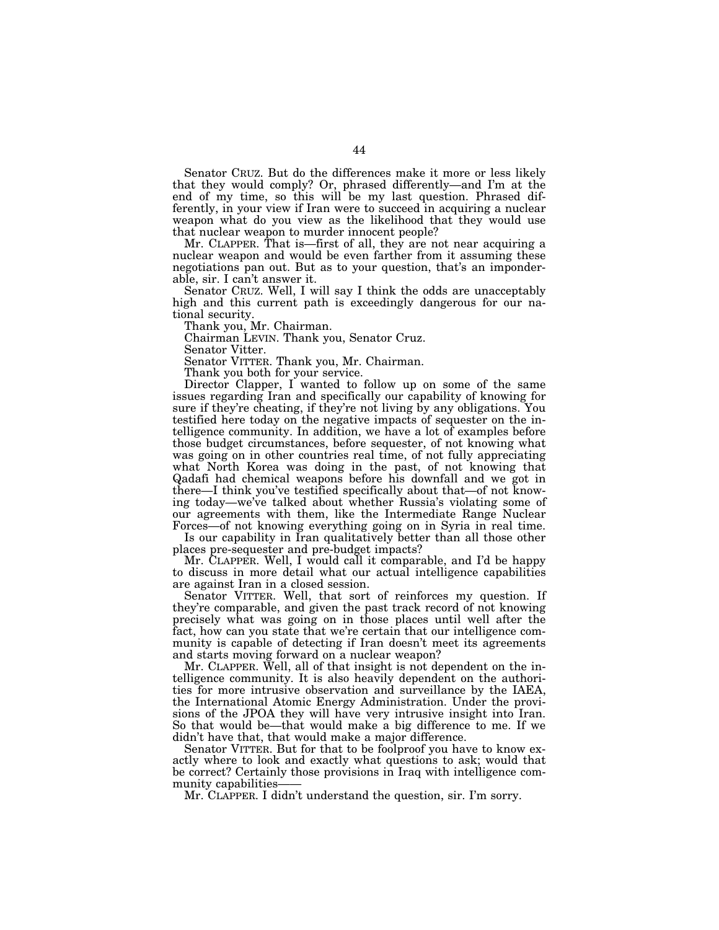Senator CRUZ. But do the differences make it more or less likely that they would comply? Or, phrased differently—and I'm at the end of my time, so this will be my last question. Phrased differently, in your view if Iran were to succeed in acquiring a nuclear weapon what do you view as the likelihood that they would use that nuclear weapon to murder innocent people?

Mr. CLAPPER. That is—first of all, they are not near acquiring a nuclear weapon and would be even farther from it assuming these negotiations pan out. But as to your question, that's an imponderable, sir. I can't answer it.

Senator CRUZ. Well, I will say I think the odds are unacceptably high and this current path is exceedingly dangerous for our national security.

Thank you, Mr. Chairman.

Chairman LEVIN. Thank you, Senator Cruz.

Senator Vitter.

Senator VITTER. Thank you, Mr. Chairman.

Thank you both for your service.

Director Clapper, I wanted to follow up on some of the same issues regarding Iran and specifically our capability of knowing for sure if they're cheating, if they're not living by any obligations. You testified here today on the negative impacts of sequester on the intelligence community. In addition, we have a lot of examples before those budget circumstances, before sequester, of not knowing what was going on in other countries real time, of not fully appreciating what North Korea was doing in the past, of not knowing that Qadafi had chemical weapons before his downfall and we got in there—I think you've testified specifically about that—of not knowing today—we've talked about whether Russia's violating some of our agreements with them, like the Intermediate Range Nuclear Forces—of not knowing everything going on in Syria in real time.

Is our capability in Iran qualitatively better than all those other places pre-sequester and pre-budget impacts?

Mr. CLAPPER. Well, I would call it comparable, and I'd be happy to discuss in more detail what our actual intelligence capabilities are against Iran in a closed session.

Senator VITTER. Well, that sort of reinforces my question. If they're comparable, and given the past track record of not knowing precisely what was going on in those places until well after the fact, how can you state that we're certain that our intelligence community is capable of detecting if Iran doesn't meet its agreements and starts moving forward on a nuclear weapon?

Mr. CLAPPER. Well, all of that insight is not dependent on the intelligence community. It is also heavily dependent on the authorities for more intrusive observation and surveillance by the IAEA, the International Atomic Energy Administration. Under the provisions of the JPOA they will have very intrusive insight into Iran. So that would be—that would make a big difference to me. If we didn't have that, that would make a major difference.

Senator VITTER. But for that to be foolproof you have to know exactly where to look and exactly what questions to ask; would that be correct? Certainly those provisions in Iraq with intelligence community capabilities

Mr. CLAPPER. I didn't understand the question, sir. I'm sorry.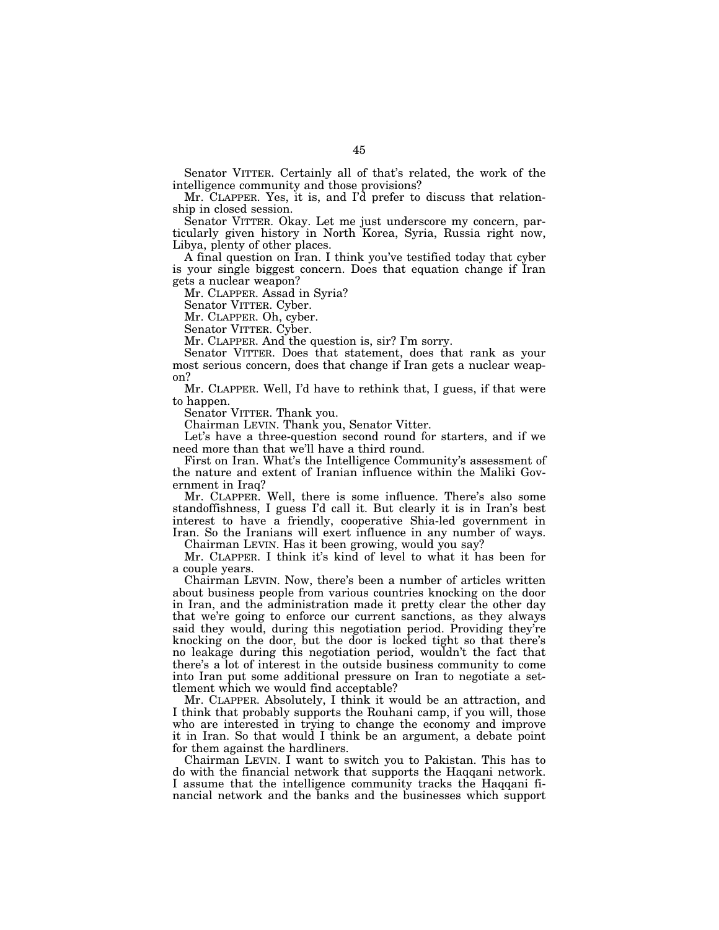Senator VITTER. Certainly all of that's related, the work of the intelligence community and those provisions?

Mr. CLAPPER. Yes, it is, and I'd prefer to discuss that relationship in closed session.

Senator VITTER. Okay. Let me just underscore my concern, particularly given history in North Korea, Syria, Russia right now, Libya, plenty of other places.

A final question on Iran. I think you've testified today that cyber is your single biggest concern. Does that equation change if Iran gets a nuclear weapon?

Mr. CLAPPER. Assad in Syria?

Senator VITTER. Cyber.

Mr. CLAPPER. Oh, cyber.

Senator VITTER. Cyber.

Mr. CLAPPER. And the question is, sir? I'm sorry.

Senator VITTER. Does that statement, does that rank as your most serious concern, does that change if Iran gets a nuclear weapon?

Mr. CLAPPER. Well, I'd have to rethink that, I guess, if that were to happen.

Senator VITTER. Thank you.

Chairman LEVIN. Thank you, Senator Vitter.

Let's have a three-question second round for starters, and if we need more than that we'll have a third round.

First on Iran. What's the Intelligence Community's assessment of the nature and extent of Iranian influence within the Maliki Government in Iraq?

Mr. CLAPPER. Well, there is some influence. There's also some standoffishness, I guess I'd call it. But clearly it is in Iran's best interest to have a friendly, cooperative Shia-led government in Iran. So the Iranians will exert influence in any number of ways.

Chairman LEVIN. Has it been growing, would you say?

Mr. CLAPPER. I think it's kind of level to what it has been for a couple years.

Chairman LEVIN. Now, there's been a number of articles written about business people from various countries knocking on the door in Iran, and the administration made it pretty clear the other day that we're going to enforce our current sanctions, as they always said they would, during this negotiation period. Providing they're knocking on the door, but the door is locked tight so that there's no leakage during this negotiation period, wouldn't the fact that there's a lot of interest in the outside business community to come into Iran put some additional pressure on Iran to negotiate a settlement which we would find acceptable?

Mr. CLAPPER. Absolutely, I think it would be an attraction, and I think that probably supports the Rouhani camp, if you will, those who are interested in trying to change the economy and improve it in Iran. So that would I think be an argument, a debate point for them against the hardliners.

Chairman LEVIN. I want to switch you to Pakistan. This has to do with the financial network that supports the Haqqani network. I assume that the intelligence community tracks the Haqqani financial network and the banks and the businesses which support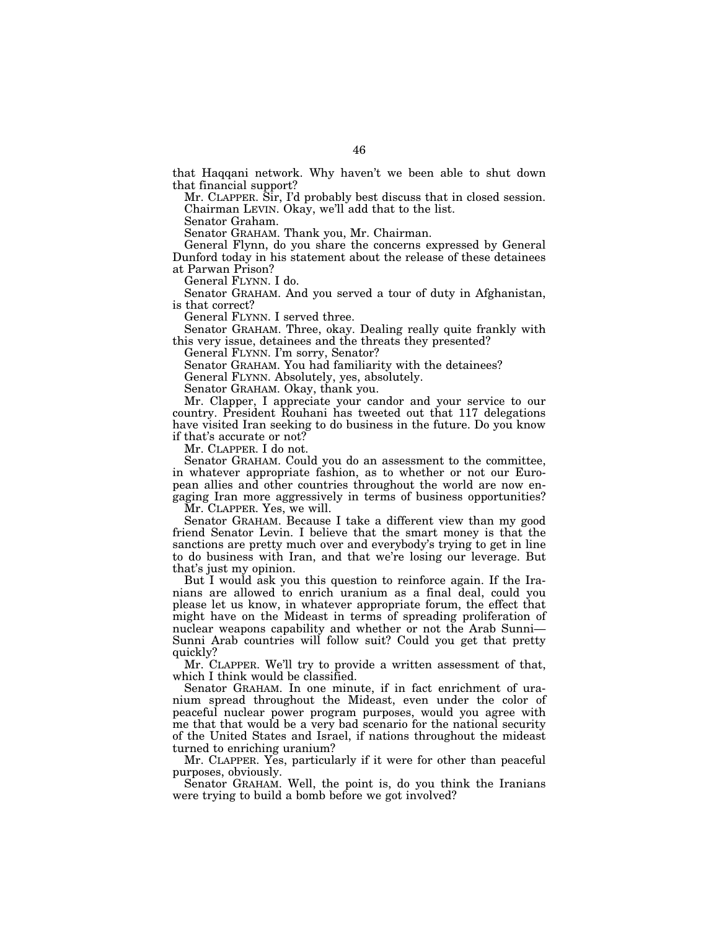that Haqqani network. Why haven't we been able to shut down that financial support?

Mr. CLAPPER. Sir, I'd probably best discuss that in closed session. Chairman LEVIN. Okay, we'll add that to the list.

Senator Graham.

Senator GRAHAM. Thank you, Mr. Chairman.

General Flynn, do you share the concerns expressed by General Dunford today in his statement about the release of these detainees at Parwan Prison?

General FLYNN. I do.

Senator GRAHAM. And you served a tour of duty in Afghanistan, is that correct?

General FLYNN. I served three.

Senator GRAHAM. Three, okay. Dealing really quite frankly with this very issue, detainees and the threats they presented?

General FLYNN. I'm sorry, Senator?

Senator GRAHAM. You had familiarity with the detainees?

General FLYNN. Absolutely, yes, absolutely.

Senator GRAHAM. Okay, thank you.

Mr. Clapper, I appreciate your candor and your service to our country. President Rouhani has tweeted out that 117 delegations have visited Iran seeking to do business in the future. Do you know if that's accurate or not?

Mr. CLAPPER. I do not.

Senator GRAHAM. Could you do an assessment to the committee, in whatever appropriate fashion, as to whether or not our European allies and other countries throughout the world are now engaging Iran more aggressively in terms of business opportunities?

Mr. CLAPPER. Yes, we will.

Senator GRAHAM. Because I take a different view than my good friend Senator Levin. I believe that the smart money is that the sanctions are pretty much over and everybody's trying to get in line to do business with Iran, and that we're losing our leverage. But that's just my opinion.

But I would ask you this question to reinforce again. If the Iranians are allowed to enrich uranium as a final deal, could you please let us know, in whatever appropriate forum, the effect that might have on the Mideast in terms of spreading proliferation of nuclear weapons capability and whether or not the Arab Sunni— Sunni Arab countries will follow suit? Could you get that pretty quickly?

Mr. CLAPPER. We'll try to provide a written assessment of that, which I think would be classified.

Senator GRAHAM. In one minute, if in fact enrichment of uranium spread throughout the Mideast, even under the color of peaceful nuclear power program purposes, would you agree with me that that would be a very bad scenario for the national security of the United States and Israel, if nations throughout the mideast turned to enriching uranium?

Mr. CLAPPER. Yes, particularly if it were for other than peaceful purposes, obviously.

Senator GRAHAM. Well, the point is, do you think the Iranians were trying to build a bomb before we got involved?